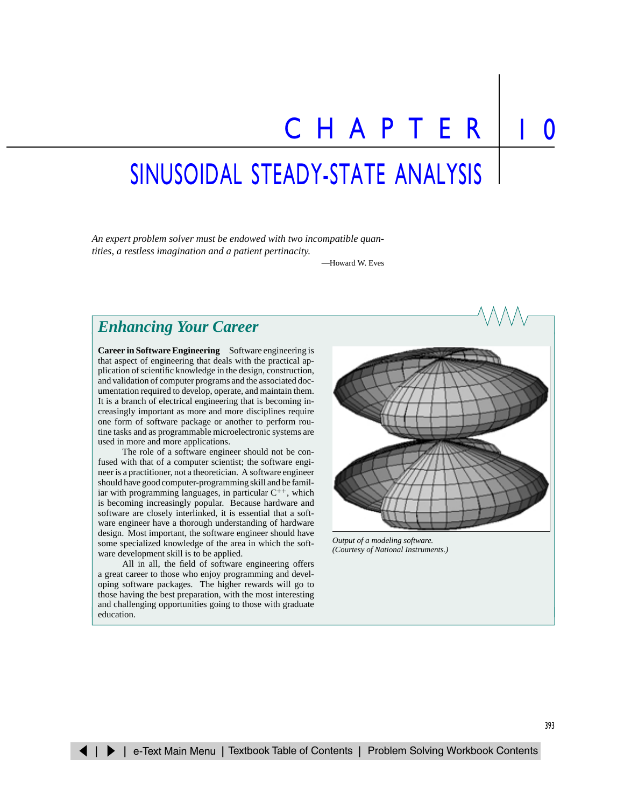## [CHAPTER](#page-1-0) 1 0

# <span id="page-0-0"></span>SINUSOIDAL STEADY-STATE ANALYSIS

*An expert problem solver must be endowed with two incompatible quantities, a restless imagination and a patient pertinacity.*

—Howard W. Eves

## *Enhancing Your Career*

**Career in Software Engineering** Software engineering is that aspect of engineering that deals with the practical application of scientific knowledge in the design, construction, and validation of computer programs and the associated documentation required to develop, operate, and maintain them. It is a branch of electrical engineering that is becoming increasingly important as more and more disciplines require one form of software package or another to perform routine tasks and as programmable microelectronic systems are used in more and more applications.

The role of a software engineer should not be confused with that of a computer scientist; the software engineer is a practitioner, not a theoretician. A software engineer should have good computer-programming skill and be familiar with programming languages, in particular  $C^{++}$ , which is becoming increasingly popular. Because hardware and software are closely interlinked, it is essential that a software engineer have a thorough understanding of hardware design. Most important, the software engineer should have some specialized knowledge of the area in which the software development skill is to be applied.

All in all, the field of software engineering offers a great career to those who enjoy programming and developing software packages. The higher rewards will go to those having the best preparation, with the most interesting and challenging opportunities going to those with graduate education.



*Output of a modeling software. (Courtesy of National Instruments.)*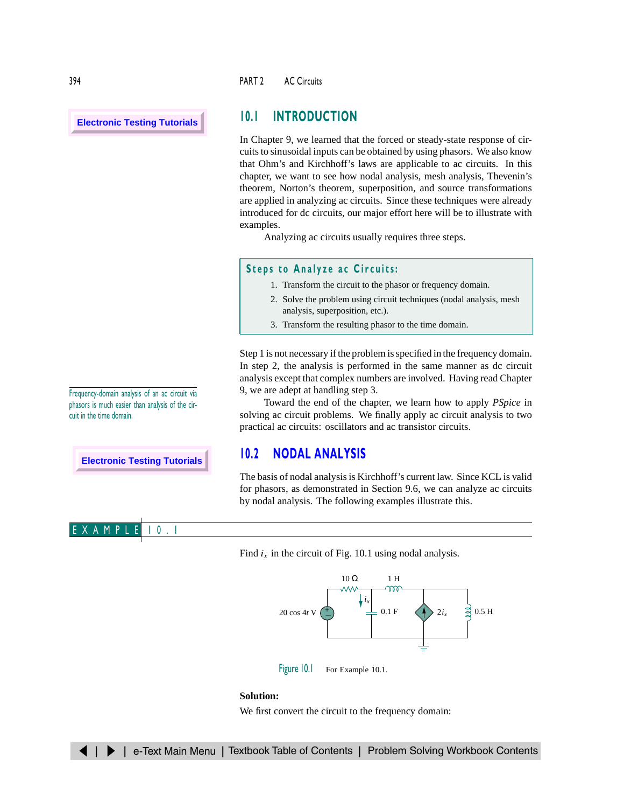<span id="page-1-0"></span>**Electronic Testing Tutorials**

## **10.1 INTRODUCTION**

In Chapter 9, we learned that the forced or steady-state response of circuits to sinusoidal inputs can be obtained by using phasors. We also know that Ohm's and Kirchhoff's laws are applicable to ac circuits. In this chapter, we want to see how nodal analysis, mesh analysis, Thevenin's theorem, Norton's theorem, superposition, and source transformations are applied in analyzing ac circuits. Since these techniques were already introduced for dc circuits, our major effort here will be to illustrate with examples.

Analyzing ac circuits usually requires three steps.

## **Steps to Analyze ac Circuits:**

- 1. Transform the circuit to the phasor or frequency domain.
- 2. Solve the problem using circuit techniques (nodal analysis, mesh analysis, superposition, etc.).
- 3. Transform the resulting phasor to the time domain.

Step 1 is not necessary if the problem is specified in the frequency domain. In step 2, the analysis is performed in the same manner as dc circuit analysis except that complex numbers are involved. Having read Chapter Frequency-domain analysis of an ac circuit via 9, we are adept at handling step 3.

Toward the end of the chapter, we learn how to apply *PSpice* in solving ac circuit problems. We finally apply ac circuit analysis to two practical ac circuits: oscillators and ac transistor circuits.

## **10.2 NODAL [ANALYSIS](#page-0-0)**

The basis of nodal analysis is Kirchhoff's current law. Since KCL is valid for phasors, as demonstrated in Section 9.6, we can analyze ac circuits by nodal analysis. The following examples illustrate this.

Find  $i_x$  in the circuit of Fig. 10.1 using nodal analysis.



Figure 10.1 For Example 10.1.

#### **Solution:**

We first convert the circuit to the frequency domain:

phasors is much easier than analysis of the circuit in the time domain.

**Electronic Testing Tutorials**

EXAMPLE 10.1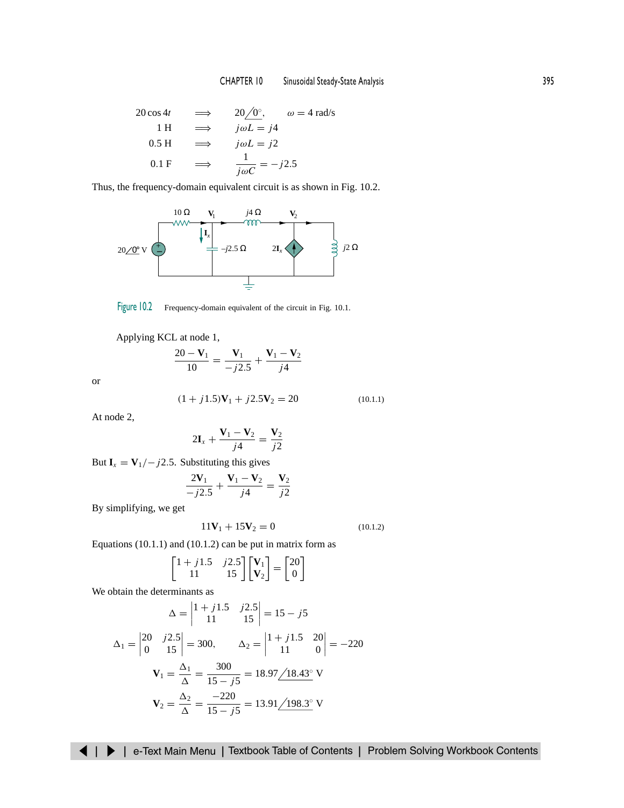$$
20 \cos 4t \implies 20 \angle 0^{\circ}, \omega = 4 \text{ rad/s}
$$
  
\n
$$
1 \text{ H} \implies j\omega L = j4
$$
  
\n
$$
0.5 \text{ H} \implies j\omega L = j2
$$
  
\n
$$
0.1 \text{ F} \implies \frac{1}{j\omega C} = -j2.5
$$

Thus, the frequency-domain equivalent circuit is as shown in Fig. 10.2.



Figure 10.2 Frequency-domain equivalent of the circuit in Fig. 10.1.

Applying KCL at node 1,

$$
\frac{20 - V_1}{10} = \frac{V_1}{-j2.5} + \frac{V_1 - V_2}{j4}
$$

or

$$
(1+j1.5)\mathbf{V}_1 + j2.5\mathbf{V}_2 = 20\tag{10.1.1}
$$

At node 2,

$$
2\mathbf{I}_x + \frac{\mathbf{V}_1 - \mathbf{V}_2}{j4} = \frac{\mathbf{V}_2}{j2}
$$

But  $\mathbf{I}_x = \mathbf{V}_1$ /−*j*2*.5.* Substituting this gives

$$
\frac{2V_1}{-j2.5} + \frac{V_1 - V_2}{j4} = \frac{V_2}{j2}
$$

By simplifying, we get

$$
11\mathbf{V}_1 + 15\mathbf{V}_2 = 0 \tag{10.1.2}
$$

Equations (10.1.1) and (10.1.2) can be put in matrix form as

$$
\begin{bmatrix} 1+j1.5 & j2.5 \ 11 & 15 \end{bmatrix} \begin{bmatrix} \mathbf{V}_1 \\ \mathbf{V}_2 \end{bmatrix} = \begin{bmatrix} 20 \\ 0 \end{bmatrix}
$$

We obtain the determinants as

$$
\Delta = \begin{vmatrix} 1+j1.5 & j2.5 \\ 11 & 15 \end{vmatrix} = 15 - j5
$$
  
\n
$$
\Delta_1 = \begin{vmatrix} 20 & j2.5 \\ 0 & 15 \end{vmatrix} = 300, \qquad \Delta_2 = \begin{vmatrix} 1+j1.5 & 20 \\ 11 & 0 \end{vmatrix} = -220
$$
  
\n
$$
\mathbf{V}_1 = \frac{\Delta_1}{\Delta} = \frac{300}{15 - j5} = 18.97 / 18.43^\circ \text{ V}
$$
  
\n
$$
\mathbf{V}_2 = \frac{\Delta_2}{\Delta} = \frac{-220}{15 - j5} = 13.91 / 198.3^\circ \text{ V}
$$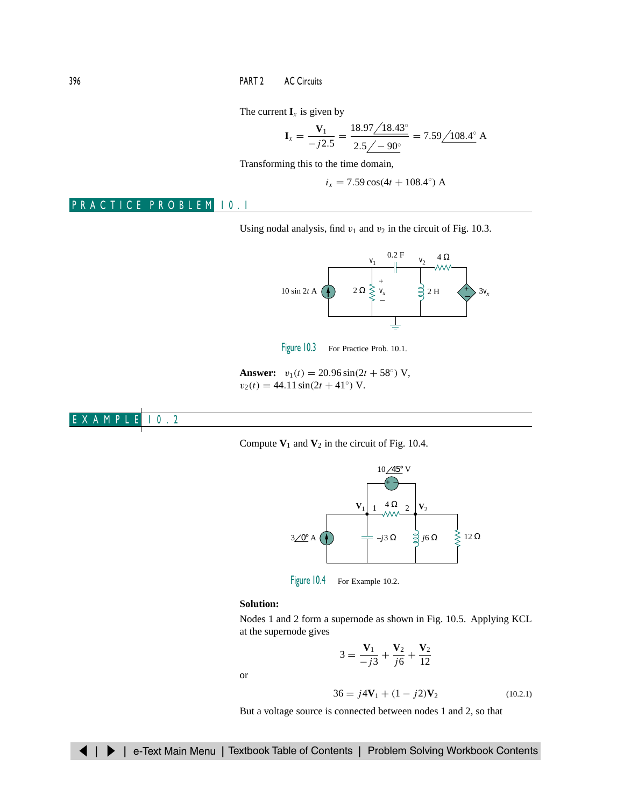The current  $\mathbf{I}_r$  is given by

$$
\mathbf{I}_x = \frac{\mathbf{V}_1}{-j2.5} = \frac{18.97 \times 18.43^{\circ}}{2.5 \times 100^{\circ}} = 7.59 \times 108.4^{\circ} \text{ A}
$$

Transforming this to the time domain,

$$
i_x = 7.59 \cos(4t + 108.4^\circ) \text{ A}
$$

PRACTICE PROBLEM 10.1

Using nodal analysis, find  $v_1$  and  $v_2$  in the circuit of Fig. 10.3.



Figure 10.3 For Practice Prob. 10.1.

**Answer:**  $v_1(t) = 20.96 \sin(2t + 58°)$  V,  $v_2(t) = 44.11 \sin(2t + 41°)$  V.



Compute  $V_1$  and  $V_2$  in the circuit of Fig. 10.4.



Figure 10.4 For Example 10.2.

#### **Solution:**

Nodes 1 and 2 form a supernode as shown in Fig. 10.5. Applying KCL at the supernode gives

$$
3 = \frac{\mathbf{V}_1}{-j3} + \frac{\mathbf{V}_2}{j6} + \frac{\mathbf{V}_2}{12}
$$

or

$$
36 = j4V_1 + (1 - j2)V_2 \tag{10.2.1}
$$

But a voltage source is connected between nodes 1 and 2, so that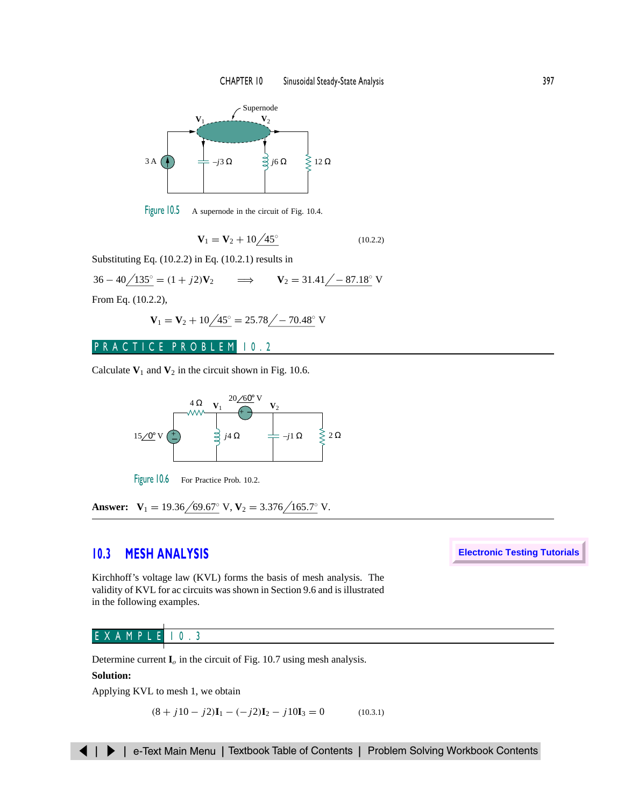

Figure 10.5 A supernode in the circuit of Fig. 10.4.

$$
\mathbf{V}_1 = \mathbf{V}_2 + 10 \angle 45^\circ \tag{10.2.2}
$$

Substituting Eq. (10.2.2) in Eq. (10.2.1) results in

$$
36 - 40 \angle 135^\circ = (1 + j2) \mathbf{V}_2 \implies \mathbf{V}_2 = 31.41 \angle -87.18^\circ \text{ V}
$$
  
From Eq. (10.2.2),

$$
\mathbf{V}_1 = \mathbf{V}_2 + 10\angle 45^\circ = 25.78\angle -70.48^\circ \text{ V}
$$

#### PRACTICE PROBLEM 10.2

Calculate  $V_1$  and  $V_2$  in the circuit shown in Fig. 10.6.



Figure 10.6 For Practice Prob. 10.2.

**Answer:**  $V_1 = 19.36 \div 69.67°$  V,  $V_2 = 3.376 \div 165.7°$  V.

## **[10.3MESH](#page-5-0) ANALYSIS**

Kirchhoff's voltage law (KVL) forms the basis of mesh analysis. The validity of KVL for ac circuits was shown in Section 9.6 and is illustrated in the following examples.

| EXAMPLEII<br>ı |  |
|----------------|--|
|----------------|--|

Determine current  $\mathbf{I}_o$  in the circuit of Fig. 10.7 using mesh analysis.

#### **Solution:**

Applying KVL to mesh 1, we obtain

$$
(8+j10-j2)\mathbf{I}_1 - (-j2)\mathbf{I}_2 - j10\mathbf{I}_3 = 0 \tag{10.3.1}
$$

#### ◀ | ▶ | e-Text Main Menu | Textbook Table of Contents | Problem Solving Workbook Contents ▲

**Electronic Testing Tutorials**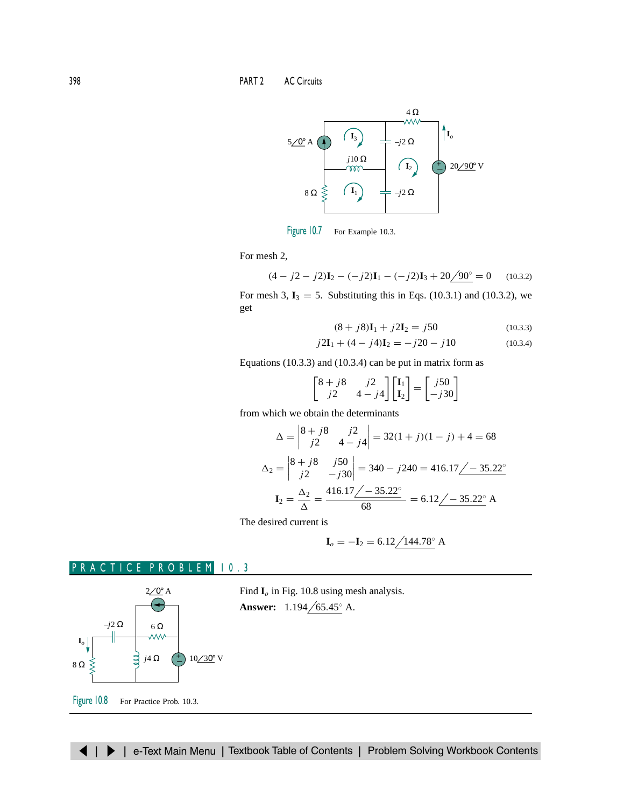<span id="page-5-0"></span>

Figure 10.7 For Example 10.3.

For mesh 2,

$$
(4 - j2 - j2)\mathbf{I}_2 - (-j2)\mathbf{I}_1 - (-j2)\mathbf{I}_3 + 20\angle{90^\circ} = 0 \quad (10.3.2)
$$

For mesh 3,  $I_3 = 5$ . Substituting this in Eqs. (10.3.1) and (10.3.2), we get

$$
(8+j8)\mathbf{I}_1 + j2\mathbf{I}_2 = j50 \tag{10.3.3}
$$

$$
j2\mathbf{I}_1 + (4 - j4)\mathbf{I}_2 = -j20 - j10
$$
 (10.3.4)

Equations (10.3.3) and (10.3.4) can be put in matrix form as

$$
\begin{bmatrix} 8+j8 & j2 \ j2 & 4-j4 \end{bmatrix} \begin{bmatrix} \mathbf{I}_1 \\ \mathbf{I}_2 \end{bmatrix} = \begin{bmatrix} j50 \\ -j30 \end{bmatrix}
$$

from which we obtain the determinants

$$
\Delta = \begin{vmatrix} 8+j8 & j2 \\ j2 & 4-j4 \end{vmatrix} = 32(1+j)(1-j) + 4 = 68
$$
  
\n
$$
\Delta_2 = \begin{vmatrix} 8+j8 & j50 \\ j2 & -j30 \end{vmatrix} = 340 - j240 = 416.17 \angle -35.22^{\circ}
$$
  
\n
$$
\mathbf{I}_2 = \frac{\Delta_2}{\Delta} = \frac{416.17 \angle -35.22^{\circ}}{68} = 6.12 \angle -35.22^{\circ} \text{ A}
$$

The desired current is

$$
I_o = -I_2 = 6.12 \angle 144.78^\circ \text{ A}
$$

#### PRACTICE PROBLEM 10.3



Find **I***<sup>o</sup>* in Fig. 10.8 using mesh analysis. **Answer:** 1.194 <u>65.45</u><sup>◦</sup> A.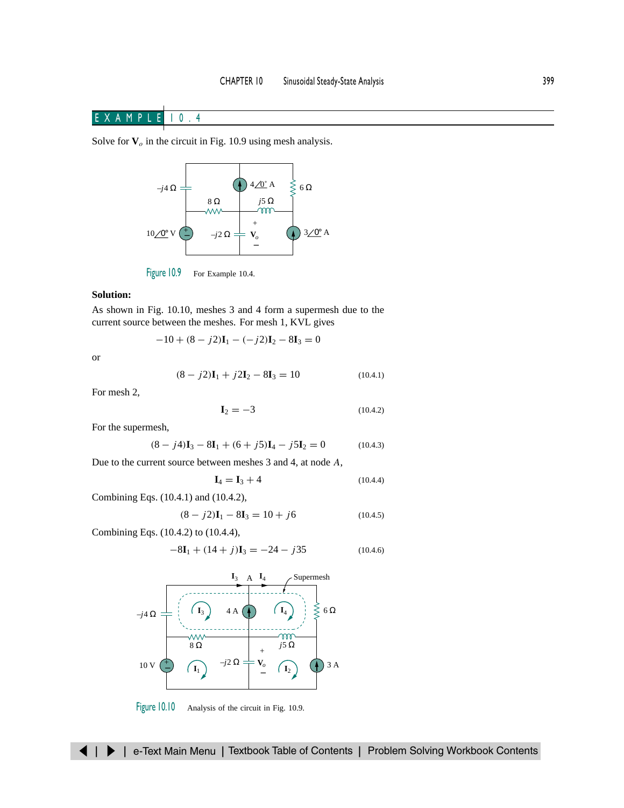## EXAMPLE 10.4

Solve for  $V$ <sup> $\sigma$ </sup> in the circuit in Fig. 10.9 using mesh analysis.



Figure 10.9 For Example 10.4.

#### **Solution:**

As shown in Fig. 10.10, meshes 3 and 4 form a supermesh due to the current source between the meshes. For mesh 1, KVL gives

$$
-10 + (8 - j2)\mathbf{I}_1 - (-j2)\mathbf{I}_2 - 8\mathbf{I}_3 = 0
$$

or

$$
(8 - j2)\mathbf{I}_1 + j2\mathbf{I}_2 - 8\mathbf{I}_3 = 10
$$
 (10.4.1)

For mesh 2,

$$
\mathbf{I}_2 = -3 \tag{10.4.2}
$$

For the supermesh,

$$
(8 - j4)\mathbf{I}_3 - 8\mathbf{I}_1 + (6 + j5)\mathbf{I}_4 - j5\mathbf{I}_2 = 0 \tag{10.4.3}
$$

Due to the current source between meshes 3 and 4, at node *A*,

$$
\mathbf{I}_4 = \mathbf{I}_3 + 4 \tag{10.4.4}
$$

Combining Eqs. (10.4.1) and (10.4.2),

$$
(8 - j2)\mathbf{I}_1 - 8\mathbf{I}_3 = 10 + j6 \tag{10.4.5}
$$

Combining Eqs. (10.4.2) to (10.4.4),

$$
-8\mathbf{I}_1 + (14+j)\mathbf{I}_3 = -24 - j35
$$
 (10.4.6)



Figure 10.10 Analysis of the circuit in Fig. 10.9.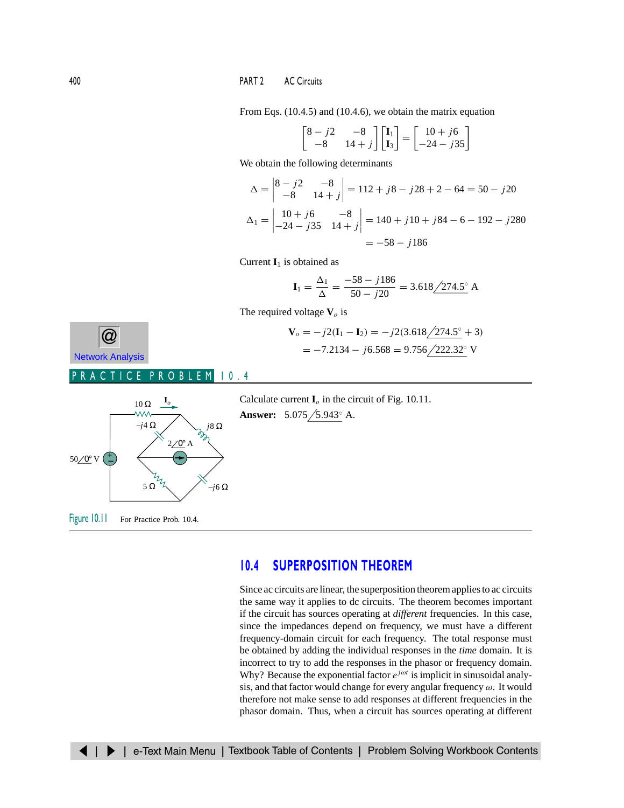From Eqs. (10.4.5) and (10.4.6), we obtain the matrix equation

$$
\begin{bmatrix} 8-j2 & -8 \ -8 & 14+j \end{bmatrix} \begin{bmatrix} \mathbf{I}_1 \\ \mathbf{I}_3 \end{bmatrix} = \begin{bmatrix} 10+j6 \\ -24-j35 \end{bmatrix}
$$

We obtain the following determinants

$$
\Delta = \begin{vmatrix} 8 - j2 & -8 \\ -8 & 14 + j \end{vmatrix} = 112 + j8 - j28 + 2 - 64 = 50 - j20
$$
  

$$
\Delta_1 = \begin{vmatrix} 10 + j6 & -8 \\ -24 - j35 & 14 + j \end{vmatrix} = 140 + j10 + j84 - 6 - 192 - j280
$$
  
= -58 - j186

Current  $I_1$  is obtained as

$$
\mathbf{I}_1 = \frac{\Delta_1}{\Delta} = \frac{-58 - j186}{50 - j20} = 3.618 / 274.5^{\circ} \text{ A}
$$

The required voltage  $V<sub>o</sub>$  is

$$
\mathbf{V}_o = -j2(\mathbf{I}_1 - \mathbf{I}_2) = -j2(3.618 \angle 274.5^\circ + 3)
$$
  
= -7.2134 - j6.568 = 9.756 \angle 222.32^\circ \text{ V}

@ Network Analysis



PRACTICE PROBLEM 10.4

Calculate current  $I$ <sup> $o$ </sup> in the circuit of Fig. 10.11. **Answer:** 5.075 5.943<sup>°</sup> A.

## **10.4 SUPERPOSITION THEOREM**

Since ac circuits are linear, the superposition theorem applies to ac circuits the same way it applies to dc circuits. The theorem becomes important if the circuit has sources operating at *different* frequencies. In this case, since the impedances depend on frequency, we must have a different frequency-domain circuit for each frequency. The total response must be obtained by adding the individual responses in the *time* domain. It is incorrect to try to add the responses in the phasor or frequency domain. Why? Because the exponential factor  $e^{j\omega t}$  is implicit in sinusoidal analysis, and that factor would change for every angular frequency *ω*. It would therefore not make sense to add responses at different frequencies in the phasor domain. Thus, when a circuit has sources operating at different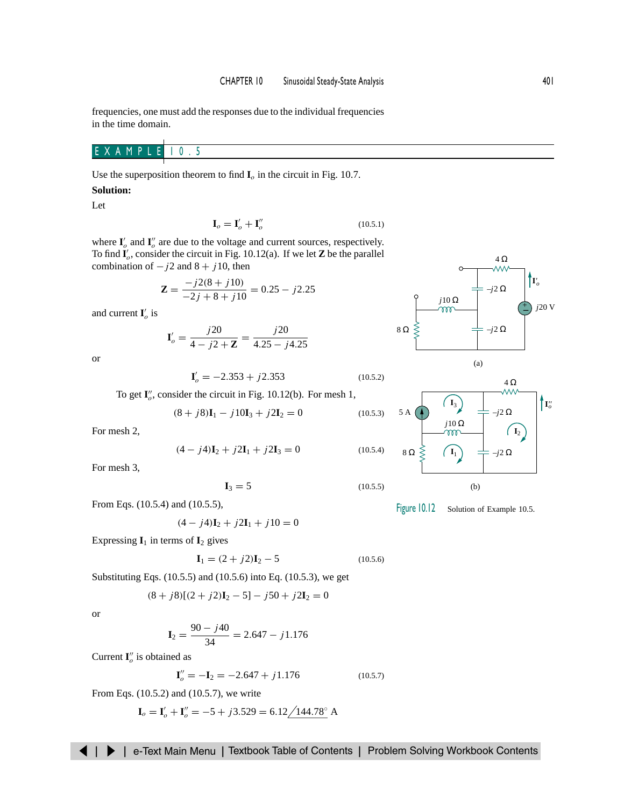frequencies, one must add the responses due to the individual frequencies in the time domain.



Use the superposition theorem to find  $\mathbf{I}_o$  in the circuit in Fig. 10.7.

#### **Solution:**

Let

$$
\mathbf{I}_o = \mathbf{I}'_o + \mathbf{I}''_o \tag{10.5.1}
$$

where  $I'_o$  and  $I''_o$  are due to the voltage and current sources, respectively. To find  $I'_o$ , consider the circuit in Fig. 10.12(a). If we let **Z** be the parallel combination of  $-j2$  and  $8 + j10$ , then

$$
\mathbf{Z} = \frac{-j2(8+j10)}{-2j+8+j10} = 0.25 - j2.25
$$

and current  $\mathbf{I}'_o$  is

$$
\mathbf{I}'_o = \frac{j20}{4 - j2 + \mathbf{Z}} = \frac{j20}{4.25 - j4.25}
$$

or

$$
\mathbf{I}'_o = -2.353 + j2.353\tag{10.5.2}
$$

To get  $I_{o}^{\prime\prime}$ , consider the circuit in Fig. 10.12(b). For mesh 1,

$$
(8+j8)\mathbf{I}_1 - j10\mathbf{I}_3 + j2\mathbf{I}_2 = 0 \tag{10.5.3}
$$

For mesh 2,

$$
(4 - j4)\mathbf{I}_2 + j2\mathbf{I}_1 + j2\mathbf{I}_3 = 0 \tag{10.5.4}
$$

For mesh 3,

 $I_3 = 5$  (10.5.5)

From Eqs. (10.5.4) and (10.5.5),

$$
(4 - j4)\mathbf{I}_2 + j2\mathbf{I}_1 + j10 = 0
$$

Expressing  $I_1$  in terms of  $I_2$  gives

 $I_1 = (2 + i2)I_2 - 5$  (10.5.6)

Substituting Eqs. (10.5.5) and (10.5.6) into Eq. (10.5.3), we get

$$
(8+j8)[(2+j2)\mathbf{I}_2 - 5] - j50 + j2\mathbf{I}_2 = 0
$$

or

$$
\mathbf{I}_2 = \frac{90 - j40}{34} = 2.647 - j1.176
$$

Current  $\mathbf{I}'_o$  is obtained as

$$
\mathbf{I}_o'' = -\mathbf{I}_2 = -2.647 + j1.176\tag{10.5.7}
$$

From Eqs. (10.5.2) and (10.5.7), we write

$$
\mathbf{I}_o = \mathbf{I}'_o + \mathbf{I}''_o = -5 + j3.529 = 6.12 \angle 144.78^\circ \text{ A}
$$





Figure 10.12 Solution of Example 10.5.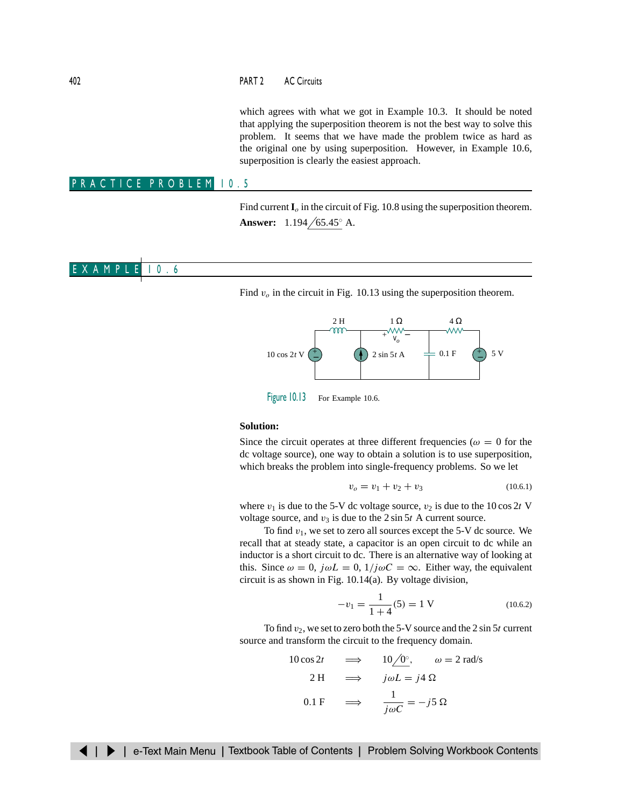which agrees with what we got in Example 10.3. It should be noted that applying the superposition theorem is not the best way to solve this problem. It seems that we have made the problem twice as hard as the original one by using superposition. However, in Example 10.6, superposition is clearly the easiest approach.

#### PRACTICE PROBLEM 10.5

Find current  $\mathbf{I}_o$  in the circuit of Fig. 10.8 using the superposition theorem. **Answer:** 1.194 ∕65.45<sup>◦</sup> A.

| EXAMPLE |  |
|---------|--|
|         |  |

Find  $v<sub>o</sub>$  in the circuit in Fig. 10.13 using the superposition theorem.





#### **Solution:**

Since the circuit operates at three different frequencies ( $\omega = 0$  for the dc voltage source), one way to obtain a solution is to use superposition, which breaks the problem into single-frequency problems. So we let

$$
v_o = v_1 + v_2 + v_3 \tag{10.6.1}
$$

where  $v_1$  is due to the 5-V dc voltage source,  $v_2$  is due to the 10 cos 2*t* V voltage source, and  $v_3$  is due to the  $2 \sin 5t$  A current source.

To find  $v_1$ , we set to zero all sources except the 5-V dc source. We recall that at steady state, a capacitor is an open circuit to dc while an inductor is a short circuit to dc. There is an alternative way of looking at this. Since  $\omega = 0$ ,  $j\omega L = 0$ ,  $1/j\omega C = \infty$ . Either way, the equivalent circuit is as shown in Fig. 10.14(a). By voltage division,

$$
-v_1 = \frac{1}{1+4}(5) = 1 \text{ V}
$$
 (10.6.2)

To find *v*2, we set to zero both the 5-V source and the 2 sin 5*t* current source and transform the circuit to the frequency domain.

$$
10 \cos 2t \implies 10/0^{\circ}, \quad \omega = 2 \text{ rad/s}
$$

$$
2 \text{ H} \implies j\omega L = j4 \text{ }\Omega
$$

$$
0.1 \text{ F} \implies \frac{1}{j\omega C} = -j5 \text{ }\Omega
$$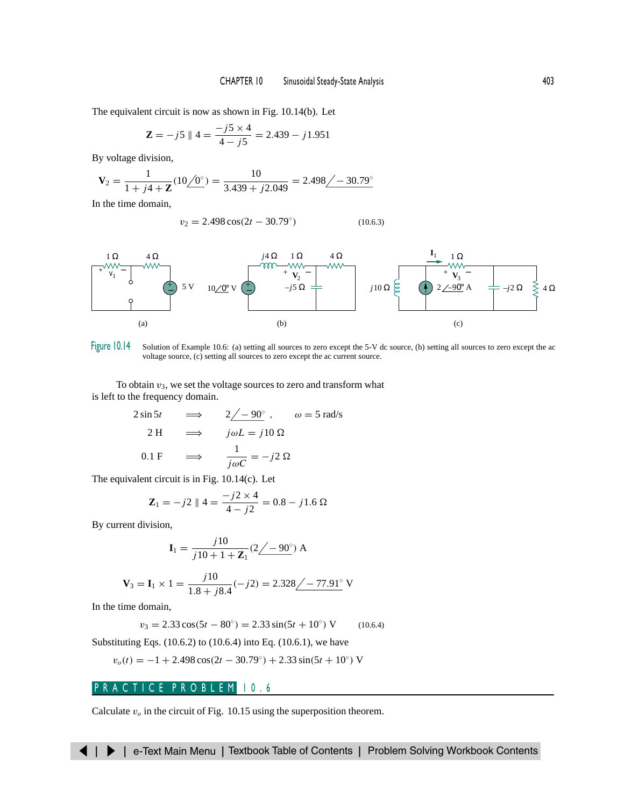The equivalent circuit is now as shown in Fig. 10.14(b). Let

$$
\mathbf{Z} = -j5 \parallel 4 = \frac{-j5 \times 4}{4 - j5} = 2.439 - j1.951
$$

By voltage division,

$$
\mathbf{V}_2 = \frac{1}{1+j4+\mathbf{Z}}(10\angle 0^\circ) = \frac{10}{3.439+j2.049} = 2.498\angle -30.79^\circ
$$

In the time domain,

$$
v_2 = 2.498 \cos(2t - 30.79^\circ) \tag{10.6.3}
$$



Figure 10.14 Solution of Example 10.6: (a) setting all sources to zero except the 5-V dc source, (b) setting all sources to zero except the ac voltage source, (c) setting all sources to zero except the ac current source.

To obtain  $v_3$ , we set the voltage sources to zero and transform what is left to the frequency domain.

$$
2 \sin 5t \implies 2 \angle -90^{\circ} , \qquad \omega = 5 \text{ rad/s}
$$
  

$$
2 \text{ H} \implies j \omega L = j10 \text{ }\Omega
$$
  

$$
0.1 \text{ F} \implies \frac{1}{j \omega C} = -j2 \text{ }\Omega
$$

The equivalent circuit is in Fig. 10.14(c). Let

$$
\mathbf{Z}_1 = -j2 \parallel 4 = \frac{-j2 \times 4}{4 - j2} = 0.8 - j1.6 \ \Omega
$$

By current division,

$$
\mathbf{I}_1 = \frac{j10}{j10 + 1 + \mathbf{Z}_1} (2 \angle -90^\circ) \text{ A}
$$

$$
\mathbf{V}_3 = \mathbf{I}_1 \times 1 = \frac{j10}{1.8 + j8.4}(-j2) = 2.328 \angle -77.91^{\circ} \text{ V}
$$

In the time domain,

$$
v_3 = 2.33 \cos(5t - 80^\circ) = 2.33 \sin(5t + 10^\circ) \text{ V} \qquad (10.6.4)
$$

Substituting Eqs. (10.6.2) to (10.6.4) into Eq. (10.6.1), we have

$$
v_o(t) = -1 + 2.498 \cos(2t - 30.79^\circ) + 2.33 \sin(5t + 10^\circ) \text{ V}
$$

#### PRACTICE PROBLEM 10.6

Calculate  $v<sub>o</sub>$  in the circuit of Fig. 10.15 using the superposition theorem.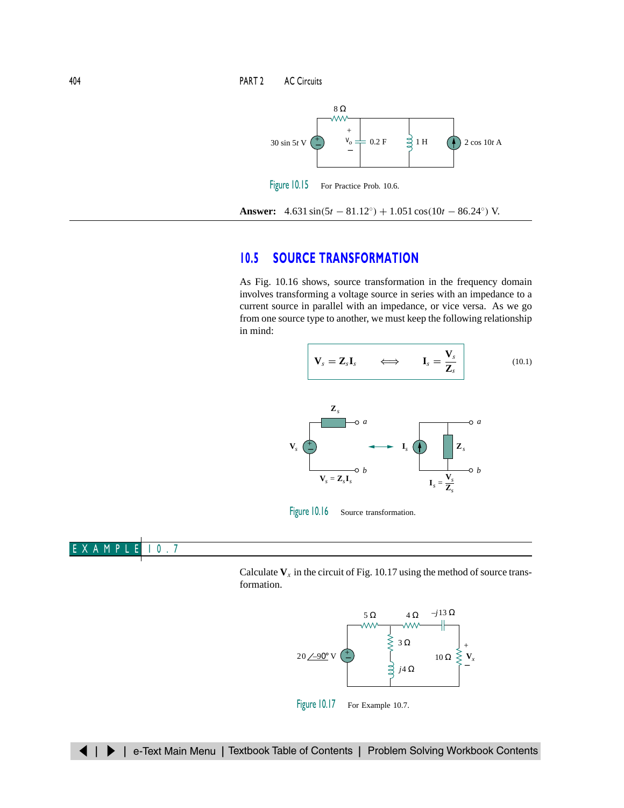

**Answer:** 4*.*631 sin*(*5*t* − 81*.*12◦*)* + 1*.*051 cos*(*10*t* − 86*.*24◦*)* V.

## **10.5 SOURCE TRANSFORMATION**

As Fig. 10.16 shows, source transformation in the frequency domain involves transforming a voltage source in series with an impedance to a current source in parallel with an impedance, or vice versa. As we go from one source type to another, we must keep the following relationship in mind:

$$
\left| \mathbf{V}_s = \mathbf{Z}_s \mathbf{I}_s \right| \qquad \Longleftrightarrow \qquad \mathbf{I}_s = \frac{\mathbf{V}_s}{\mathbf{Z}_s} \qquad (10.1)
$$



Figure 10.16 Source transformation.



Calculate  $V_x$  in the circuit of Fig. 10.17 using the method of source transformation.



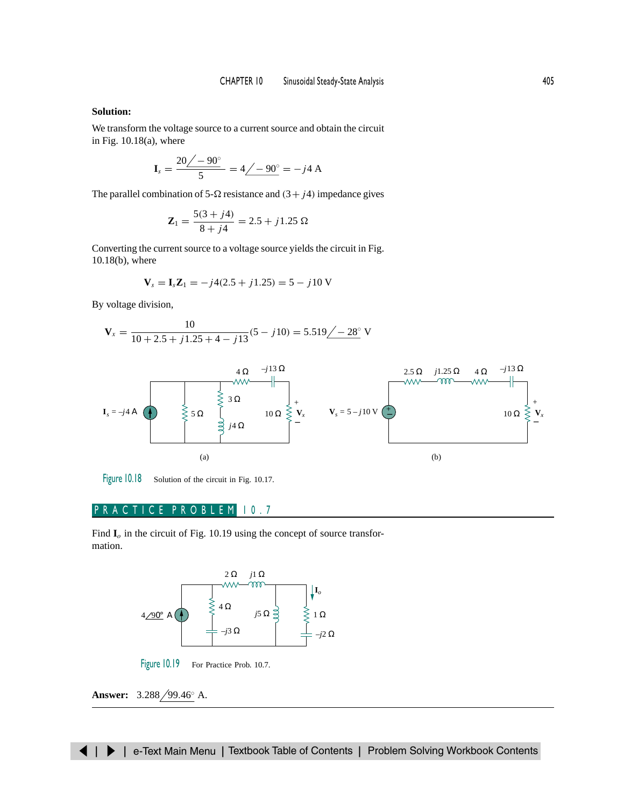#### **Solution:**

We transform the voltage source to a current source and obtain the circuit in Fig.  $10.18(a)$ , where

$$
I_s = \frac{20\angle -90^\circ}{5} = 4\angle -90^\circ = -j4 \text{ A}
$$

The parallel combination of 5- $\Omega$  resistance and  $(3+j4)$  impedance gives

$$
\mathbf{Z}_1 = \frac{5(3+j4)}{8+j4} = 2.5 + j1.25 \ \Omega
$$

Converting the current source to a voltage source yields the circuit in Fig. 10.18(b), where

$$
\mathbf{V}_s = \mathbf{I}_s \mathbf{Z}_1 = -j4(2.5 + j1.25) = 5 - j10 \text{ V}
$$

By voltage division,

$$
\mathbf{V}_x = \frac{10}{10 + 2.5 + j1.25 + 4 - j13} (5 - j10) = 5.519 \angle -28^\circ \text{ V}
$$



Figure 10.18 Solution of the circuit in Fig. 10.17.

#### PRACTICE PROBLEM 10.7

Find  $I$ <sup> $o$ </sup> in the circuit of Fig. 10.19 using the concept of source transformation.



Figure 10.19 For Practice Prob. 10.7.

**Answer:** 3.288 99.46<sup>°</sup> A.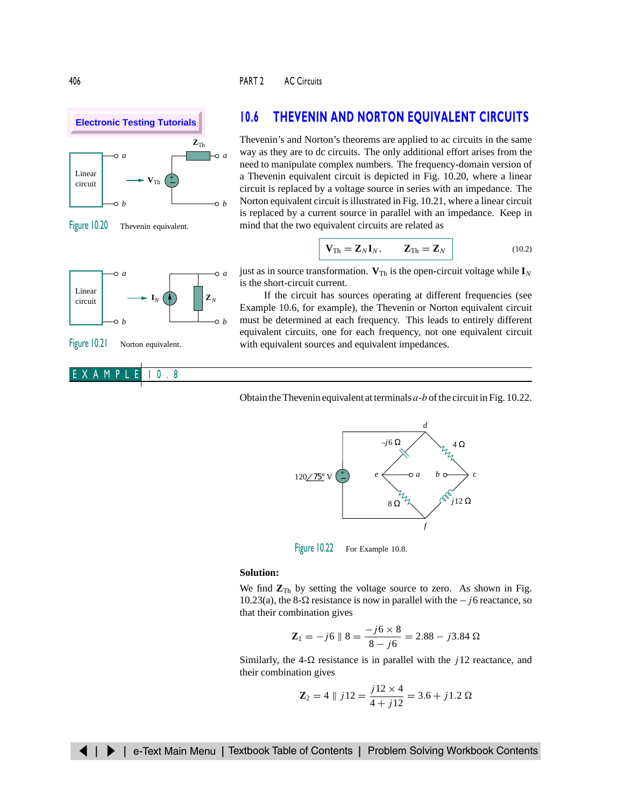

## **10.6 THEVENIN AND NORTON EQUIVALENT CIRCUITS**

Thevenin's and Norton's theorems are applied to ac circuits in the same way as they are to dc circuits. The only additional effort arises from the need to manipulate complex numbers. The frequency-domain version of a Thevenin equivalent circuit is depicted in Fig. 10.20, where a linear circuit is replaced by a voltage source in series with an impedance. The Norton equivalent circuit is illustrated in Fig. 10.21, where a linear circuit is replaced by a current source in parallel with an impedance. Keep in mind that the two equivalent circuits are related as

$$
\mathbf{V}_{\mathrm{Th}} = \mathbf{Z}_N \mathbf{I}_N, \qquad \mathbf{Z}_{\mathrm{Th}} = \mathbf{Z}_N \qquad (10.2)
$$

just as in source transformation.  $V_{Th}$  is the open-circuit voltage while  $I_N$ is the short-circuit current.

If the circuit has sources operating at different frequencies (see Example 10.6, for example), the Thevenin or Norton equivalent circuit must be determined at each frequency. This leads to entirely different equivalent circuits, one for each frequency, not one equivalent circuit with equivalent sources and equivalent impedances.



EXAMPLE 10.8

Obtain the Thevenin equivalent at terminals *a*-*b* of the circuit in Fig. 10.22.





#### **Solution:**

We find  $\mathbb{Z}_{\text{Th}}$  by setting the voltage source to zero. As shown in Fig. 10.23(a), the 8-Ω resistance is now in parallel with the  $-j6$  reactance, so that their combination gives

$$
\mathbf{Z}_1 = -j6 \parallel 8 = \frac{-j6 \times 8}{8 - j6} = 2.88 - j3.84 \text{ }\Omega
$$

Similarly, the 4- $\Omega$  resistance is in parallel with the  $j12$  reactance, and their combination gives

$$
\mathbf{Z}_2 = 4 \parallel j12 = \frac{j12 \times 4}{4 + j12} = 3.6 + j1.2 \text{ }\Omega
$$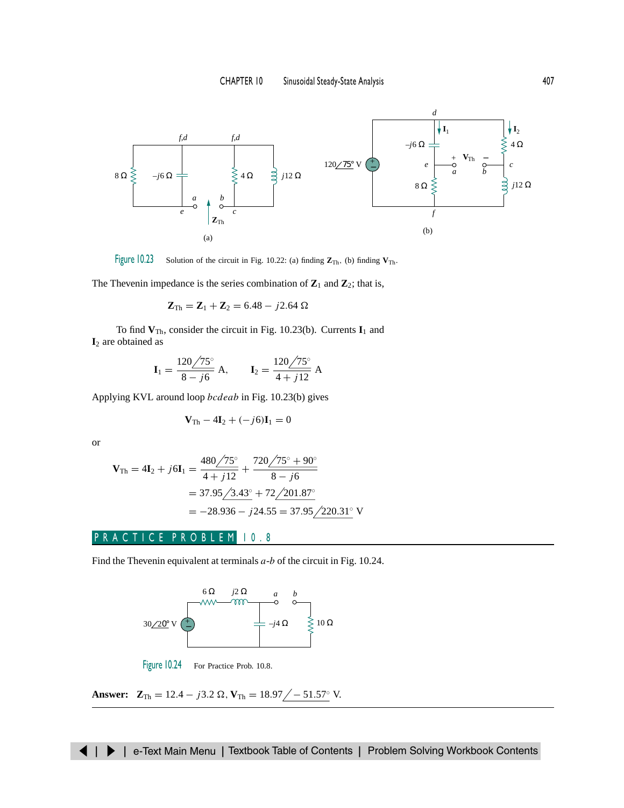

Figure  $10.23$  Solution of the circuit in Fig. 10.22: (a) finding  $\mathbf{Z}_{\text{Th}}$ , (b) finding  $\mathbf{V}_{\text{Th}}$ .

The Thevenin impedance is the series combination of  $\mathbb{Z}_1$  and  $\mathbb{Z}_2$ ; that is,

$$
\mathbf{Z}_{\mathrm{Th}} = \mathbf{Z}_1 + \mathbf{Z}_2 = 6.48 - j2.64 \Omega
$$

To find  $V_{Th}$ , consider the circuit in Fig. 10.23(b). Currents  $I_1$  and **I**<sup>2</sup> are obtained as

$$
\mathbf{I}_1 = \frac{120/75^{\circ}}{8 - j6} \text{ A}, \qquad \mathbf{I}_2 = \frac{120/75^{\circ}}{4 + j12} \text{ A}
$$

Applying KVL around loop *bcdeab* in Fig. 10.23(b) gives

$$
\mathbf{V}_{\mathrm{Th}} - 4\mathbf{I}_2 + (-j6)\mathbf{I}_1 = 0
$$

or

$$
\mathbf{V}_{\text{Th}} = 4\mathbf{I}_2 + j6\mathbf{I}_1 = \frac{480/75^{\circ}}{4 + j12} + \frac{720/75^{\circ} + 90^{\circ}}{8 - j6}
$$

$$
= 37.95/3.43^{\circ} + 72/201.87^{\circ}
$$

$$
= -28.936 - j24.55 = 37.95/220.31^{\circ} \text{ V}
$$

#### PRACTICE PROBLEM 10.8

Find the Thevenin equivalent at terminals *a*-*b* of the circuit in Fig. 10.24.



Figure 10.24 For Practice Prob. 10.8.

**Answer:**  $\mathbb{Z}_{\text{Th}} = 12.4 - j3.2 \Omega, \mathbb{V}_{\text{Th}} = 18.97 \angle -51.57°$  V.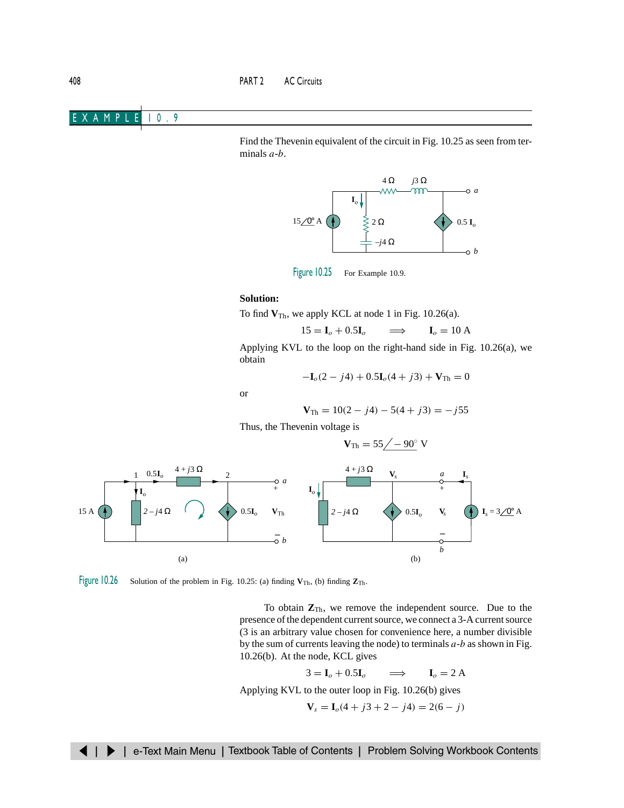EXAMPLE 10.9

Find the Thevenin equivalent of the circuit in Fig. 10.25 as seen from terminals *a*-*b*.



Figure 10.25 For Example 10.9.

#### **Solution:**

To find  $V_{\text{Th}}$ , we apply KCL at node 1 in Fig. 10.26(a).

$$
15 = Io + 0.5Io \implies Io = 10 A
$$

Applying KVL to the loop on the right-hand side in Fig. 10.26(a), we obtain

$$
-I_o(2-j4) + 0.5I_o(4+j3) + V_{Th} = 0
$$

or

$$
\mathbf{V}_{\text{Th}} = 10(2 - j4) - 5(4 + j3) = -j55
$$

Thus, the Thevenin voltage is

$$
V_{\rm Th} = 55 \angle -90^{\circ} \, \rm V
$$



Figure  $10.26$  Solution of the problem in Fig. 10.25: (a) finding  $V_{\text{Th}}$ , (b) finding  $Z_{\text{Th}}$ .

To obtain  $\mathbf{Z}_{\text{Th}}$ , we remove the independent source. Due to the presence of the dependent current source, we connect a 3-A current source (3 is an arbitrary value chosen for convenience here, a number divisible by the sum of currents leaving the node) to terminals *a*-*b* as shown in Fig. 10.26(b). At the node, KCL gives

$$
3 = I_o + 0.5I_o \qquad \Longrightarrow \qquad I_o = 2 \text{ A}
$$

Applying KVL to the outer loop in Fig. 10.26(b) gives

$$
\mathbf{V}_s = \mathbf{I}_o(4 + j3 + 2 - j4) = 2(6 - j)
$$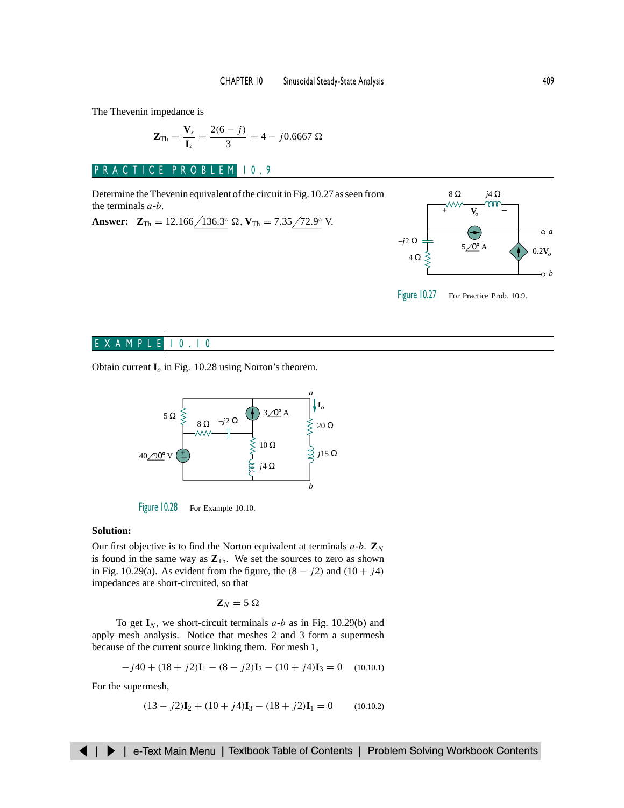The Thevenin impedance is

$$
\mathbf{Z}_{\text{Th}} = \frac{\mathbf{V}_s}{\mathbf{I}_s} = \frac{2(6-j)}{3} = 4 - j0.6667 \ \Omega
$$

#### RACTICE PROBLEM 10.9

Determine the Thevenin equivalent of the circuit in Fig. 10.27 as seen from the terminals *a*-*b*.

**Answer:**  $\mathbf{Z}_{\text{Th}} = 12.166 / 136.3° \Omega, \mathbf{V}_{\text{Th}} = 7.35 / 72.9° \text{ V}.$ 



| LE I<br><b>AM</b><br>: Y<br>. A M F<br>▔▁∧ |  |
|--------------------------------------------|--|
|--------------------------------------------|--|

Obtain current **I***<sup>o</sup>* in Fig. 10.28 using Norton's theorem.



Figure 10.28 For Example 10.10.

#### **Solution:**

Our first objective is to find the Norton equivalent at terminals  $a-b$ .  $\mathbf{Z}_N$ is found in the same way as  $\mathbb{Z}_{Th}$ . We set the sources to zero as shown in Fig. 10.29(a). As evident from the figure, the  $(8 - j2)$  and  $(10 + j4)$ impedances are short-circuited, so that

$$
\mathbf{Z}_N=5\;\Omega
$$

To get  $I_N$ , we short-circuit terminals  $a-b$  as in Fig. 10.29(b) and apply mesh analysis. Notice that meshes 2 and 3 form a supermesh because of the current source linking them. For mesh 1,

$$
-j40 + (18 + j2)\mathbf{I}_1 - (8 - j2)\mathbf{I}_2 - (10 + j4)\mathbf{I}_3 = 0 \quad (10.10.1)
$$

For the supermesh,

$$
(13 - j2)\mathbf{I}_2 + (10 + j4)\mathbf{I}_3 - (18 + j2)\mathbf{I}_1 = 0 \tag{10.10.2}
$$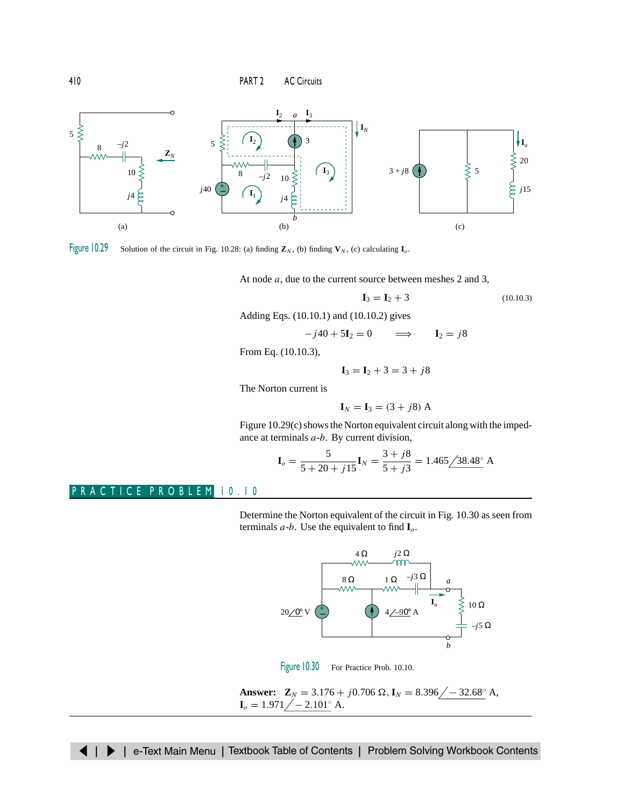<span id="page-17-0"></span>

Figure 10.29 Solution of the circuit in Fig. 10.28: (a) finding  $\mathbf{Z}_N$ , (b) finding  $\mathbf{V}_N$ , (c) calculating  $\mathbf{I}_o$ .

At node *a*, due to the current source between meshes 2 and 3,

$$
\mathbf{I}_3 = \mathbf{I}_2 + 3 \tag{10.10.3}
$$

Adding Eqs. (10.10.1) and (10.10.2) gives

$$
-j40 + 5\mathbf{I}_2 = 0 \qquad \Longrightarrow \qquad \mathbf{I}_2 = j8
$$

From Eq. (10.10.3),

$$
\mathbf{I}_3 = \mathbf{I}_2 + 3 = 3 + j8
$$

The Norton current is

$$
\mathbf{I}_N = \mathbf{I}_3 = (3+j8) \text{ A}
$$

Figure 10.29(c) shows the Norton equivalent circuit along with the impedance at terminals *a*-*b*. By current division,

$$
\mathbf{I}_o = \frac{5}{5 + 20 + j15} \mathbf{I}_N = \frac{3 + j8}{5 + j3} = 1.465 \angle 38.48^\circ \text{ A}
$$

PRACTICE PROBLEM 10.10

Determine the Norton equivalent of the circuit in Fig. 10.30 as seen from terminals  $a-b$ . Use the equivalent to find  $I<sub>o</sub>$ .





**Answer:**  $\mathbf{Z}_N = 3.176 + j0.706 \Omega$ ,  $\mathbf{I}_N = 8.396 \angle -32.68°$  A,  $I_o = 1.971 \angle -2.101^\circ$  A.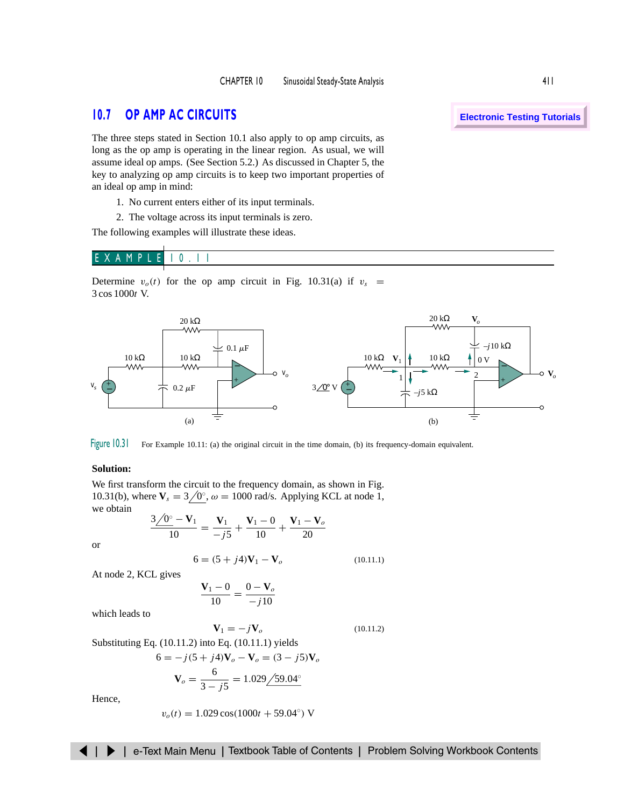## **10.7 OP AMP AC [CIRCUITS](#page-17-0)**

The three steps stated in Section 10.1 also apply to op amp circuits, as long as the op amp is operating in the linear region. As usual, we will assume ideal op amps. (See Section 5.2.) As discussed in Chapter 5, the key to analyzing op amp circuits is to keep two important properties of an ideal op amp in mind:

- 1. No current enters either of its input terminals.
- 2. The voltage across its input terminals is zero.

The following examples will illustrate these ideas.

EXAMPLE 10.11

Determine  $v<sub>o</sub>(t)$  for the op amp circuit in Fig. 10.31(a) if  $v<sub>s</sub>$  = 3 cos 1000*t* V.



Figure 10.31 For Example 10.11: (a) the original circuit in the time domain, (b) its frequency-domain equivalent.

#### **Solution:**

We first transform the circuit to the frequency domain, as shown in Fig. 10.31(b), where  $V_s = 3/0^\circ$ ,  $\omega = 1000$  rad/s. Applying KCL at node 1, we obtain

$$
\frac{3\angle 0^{\circ} - \mathbf{V}_1}{10} = \frac{\mathbf{V}_1}{-j5} + \frac{\mathbf{V}_1 - 0}{10} + \frac{\mathbf{V}_1 - \mathbf{V}_o}{20}
$$

or

$$
6 = (5 + j4)\mathbf{V}_1 - \mathbf{V}_o \tag{10.11.1}
$$

**<sub>***o***</sub> (10.11.2)** 

At node 2, KCL gives

$$
\frac{\mathbf{V}_1 - 0}{10} = \frac{0 - \mathbf{V}_o}{-j10}
$$

which leads to

$$
100 \text{ m}
$$

Substituting Eq. (10.11.2) into Eq. (10.11.1) yields  
\n
$$
6 = -j(5 + j4)\mathbf{V}_o - \mathbf{V}_o = (3 - j5)\mathbf{V}_o
$$

$$
\mathbf{V}_o = \frac{6}{3 - j5} = 1.029 \big/ 59.04^\circ
$$

Hence,

$$
v_o(t) = 1.029 \cos(1000t + 59.04^{\circ}) \text{ V}
$$

#### **Electronic Testing Tutorials**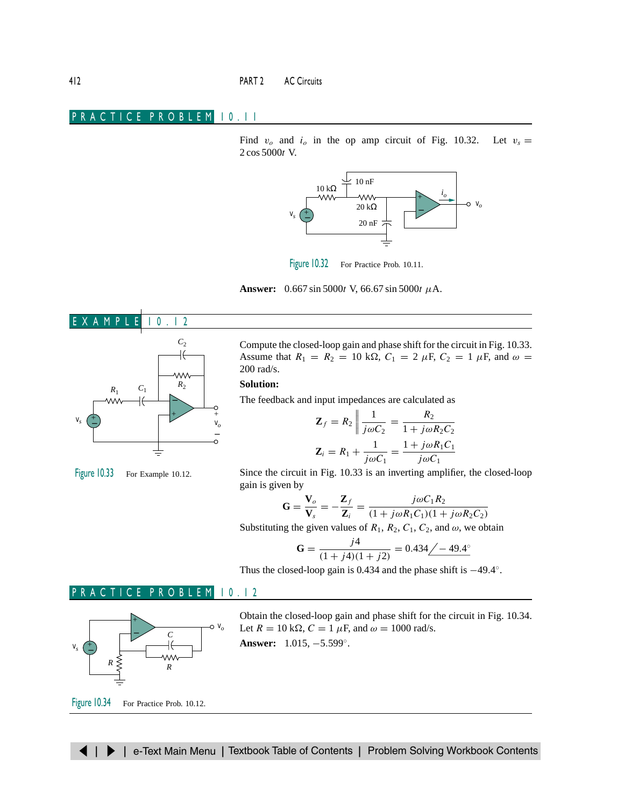#### RACTICE PROBLEM 10.11

Find  $v_o$  and  $i_o$  in the op amp circuit of Fig. 10.32. Let  $v_s =$ 2 cos 5000*t* V.











Compute the closed-loop gain and phase shift for the circuit in Fig. 10.33. Assume that  $R_1 = R_2 = 10 \text{ k}\Omega$ ,  $C_1 = 2 \mu \text{F}$ ,  $C_2 = 1 \mu \text{F}$ , and  $\omega =$ 200 rad/s.

#### **Solution:**

The feedback and input impedances are calculated as

$$
\mathbf{Z}_f = R_2 \left\| \frac{1}{j\omega C_2} \right\| = \frac{R_2}{1 + j\omega R_2 C_2}
$$

$$
\mathbf{Z}_i = R_1 + \frac{1}{j\omega C_1} = \frac{1 + j\omega R_1 C_1}{j\omega C_1}
$$

Since the circuit in Fig. 10.33 is an inverting amplifier, the closed-loop gain is given by

$$
\mathbf{G} = \frac{\mathbf{V}_o}{\mathbf{V}_s} = -\frac{\mathbf{Z}_f}{\mathbf{Z}_i} = \frac{j\omega C_1 R_2}{(1 + j\omega R_1 C_1)(1 + j\omega R_2 C_2)}
$$

Substituting the given values of  $R_1$ ,  $R_2$ ,  $C_1$ ,  $C_2$ , and  $\omega$ , we obtain

$$
\mathbf{G} = \frac{j4}{(1+j4)(1+j2)} = 0.434 \angle -49.4^{\circ}
$$

Thus the closed-loop gain is 0.434 and the phase shift is −49*.*4◦.

#### PROBLEM 10.12



Obtain the closed-loop gain and phase shift for the circuit in Fig. 10.34. Let  $R = 10 \text{ k}\Omega$ ,  $C = 1 \mu\text{F}$ , and  $\omega = 1000 \text{ rad/s}$ . **Answer:** 1.015, −5*.*599◦.

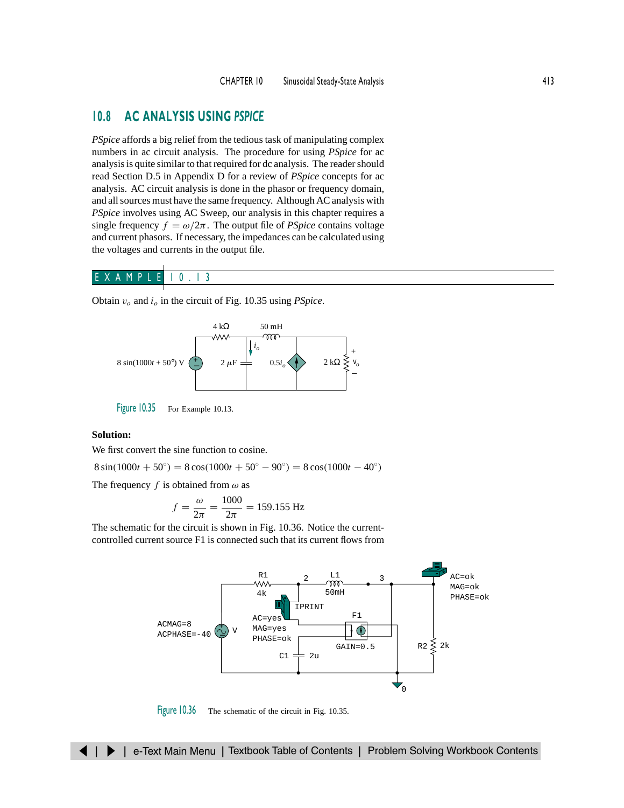## **10.8 AC ANALYSIS USING** *PSPICE*

*PSpice* affords a big relief from the tedious task of manipulating complex numbers in ac circuit analysis. The procedure for using *PSpice* for ac analysis is quite similar to that required for dc analysis. The reader should read Section D.5 in Appendix D for a review of *PSpice* concepts for ac analysis. AC circuit analysis is done in the phasor or frequency domain, and all sources must have the same frequency. Although AC analysis with *PSpice* involves using AC Sweep, our analysis in this chapter requires a single frequency  $f = \omega/2\pi$ . The output file of *PSpice* contains voltage and current phasors. If necessary, the impedances can be calculated using the voltages and currents in the output file.



Obtain *vo* and *io* in the circuit of Fig. 10.35 using *PSpice*.



Figure 10.35 For Example 10.13.

#### **Solution:**

We first convert the sine function to cosine.

 $8 \sin(1000t + 50^\circ) = 8 \cos(1000t + 50^\circ - 90^\circ) = 8 \cos(1000t - 40^\circ)$ 

The frequency *f* is obtained from *ω* as

$$
f = \frac{\omega}{2\pi} = \frac{1000}{2\pi} = 159.155 \text{ Hz}
$$

The schematic for the circuit is shown in Fig. 10.36. Notice the currentcontrolled current source F1 is connected such that its current flows from



Figure 10.36 The schematic of the circuit in Fig. 10.35.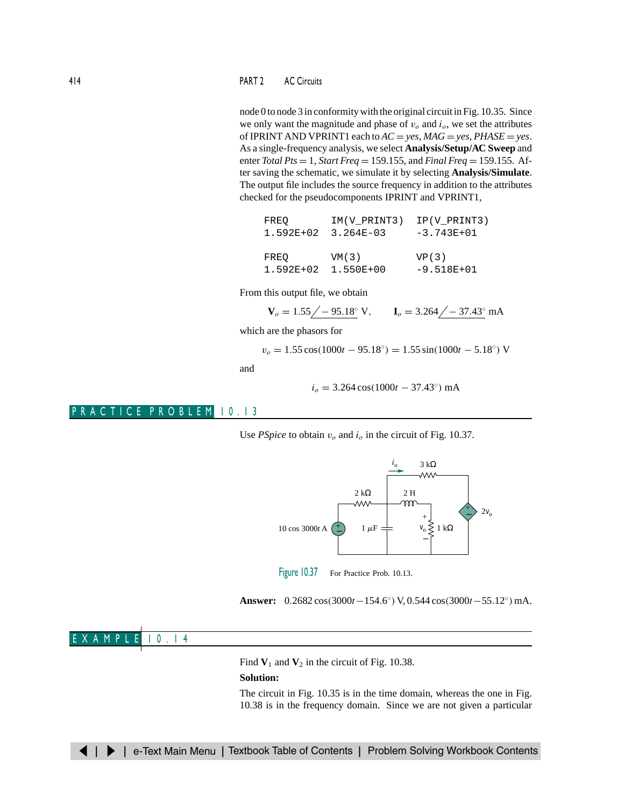#### 414 PART 2 AC Circuits

node 0 to node 3 in conformity with the original circuit in Fig. 10.35. Since we only want the magnitude and phase of  $v<sub>o</sub>$  and  $i<sub>o</sub>$ , we set the attributes of IPRINT AND VPRINT1 each to  $AC = yes$ ,  $MAG = yes$ ,  $PHASE = yes$ . As a single-frequency analysis, we select **Analysis/Setup/AC Sweep** and enter *Total Pts* = 1, *Start Freq* = 159.155, and *Final Freq* = 159.155. After saving the schematic, we simulate it by selecting **Analysis/Simulate**. The output file includes the source frequency in addition to the attributes checked for the pseudocomponents IPRINT and VPRINT1,

| FREO          | IM(V PRINT3)  | IP(V PRINT3)   |
|---------------|---------------|----------------|
| $1.592E + 02$ | $3.264E - 03$ | $-3.743E + 01$ |
|               |               |                |
| FREO          | VM(3)         | VP(3)          |
| $1.592E + 02$ | $1.550E + 00$ | $-9.518E+01$   |

From this output file, we obtain

$$
\mathbf{V}_o = 1.55 \angle -95.18^{\circ} \text{ V}, \qquad \mathbf{I}_o = 3.264 \angle -37.43^{\circ} \text{ mA}
$$

which are the phasors for

$$
v_o = 1.55 \cos(1000t - 95.18^\circ) = 1.55 \sin(1000t - 5.18^\circ)
$$
 V

and

$$
i_o = 3.264 \cos(1000t - 37.43^\circ) \text{ mA}
$$

#### PRACTICE PROBLEM 10.13

Use *PSpice* to obtain  $v<sub>o</sub>$  and  $i<sub>o</sub>$  in the circuit of Fig. 10.37.



Figure 10.37 For Practice Prob. 10.13.

**Answer:** 0*.*2682 cos*(*3000*t*−154*.*6◦*)* V, 0*.*544 cos*(*3000*t*−55*.*12◦*)* mA.

EXAMPLE 10.14

Find  $V_1$  and  $V_2$  in the circuit of Fig. 10.38.

#### **Solution:**

The circuit in Fig. 10.35 is in the time domain, whereas the one in Fig. 10.38 is in the frequency domain. Since we are not given a particular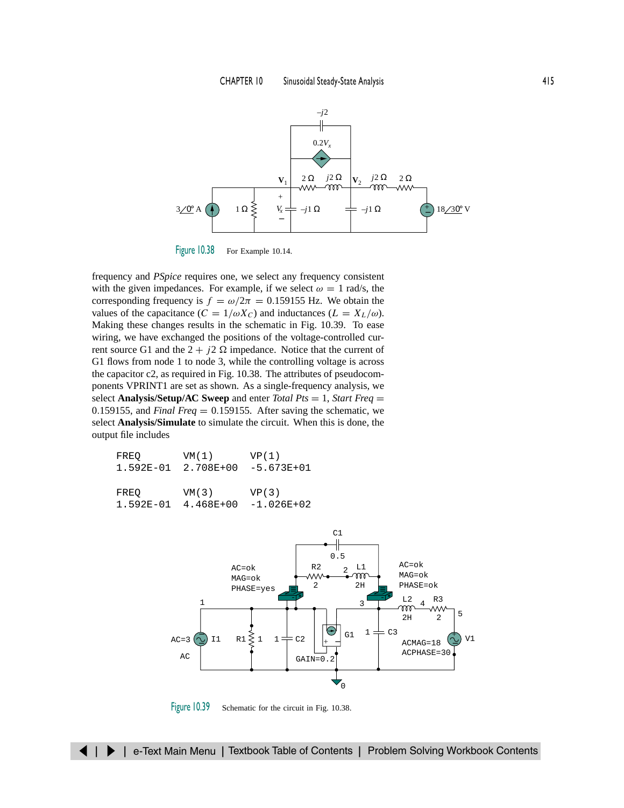

Figure 10.38 For Example 10.14.

frequency and *PSpice* requires one, we select any frequency consistent with the given impedances. For example, if we select  $\omega = 1$  rad/s, the corresponding frequency is  $f = \omega/2\pi = 0.159155$  Hz. We obtain the values of the capacitance ( $C = 1/\omega X_C$ ) and inductances ( $L = X_L/\omega$ ). Making these changes results in the schematic in Fig. 10.39. To ease wiring, we have exchanged the positions of the voltage-controlled current source G1 and the  $2 + j2 \Omega$  impedance. Notice that the current of G1 flows from node 1 to node 3, while the controlling voltage is across the capacitor c2, as required in Fig. 10.38. The attributes of pseudocomponents VPRINT1 are set as shown. As a single-frequency analysis, we select **Analysis/Setup/AC Sweep** and enter *Total Pts* = 1, *Start Freq* = 0.159155, and *Final Freq* = 0.159155. After saving the schematic, we select **Analysis/Simulate** to simulate the circuit. When this is done, the output file includes

| FREO      | VM(1)         | VP(1)        |
|-----------|---------------|--------------|
| 1.592E-01 | 2.708E+00     | -5.673E+01   |
| FREO      | VM(3)         | VP(3)        |
| 1.592E-01 | $4.468E + 00$ | $-1.026E+02$ |



Figure 10.39 Schematic for the circuit in Fig. 10.38.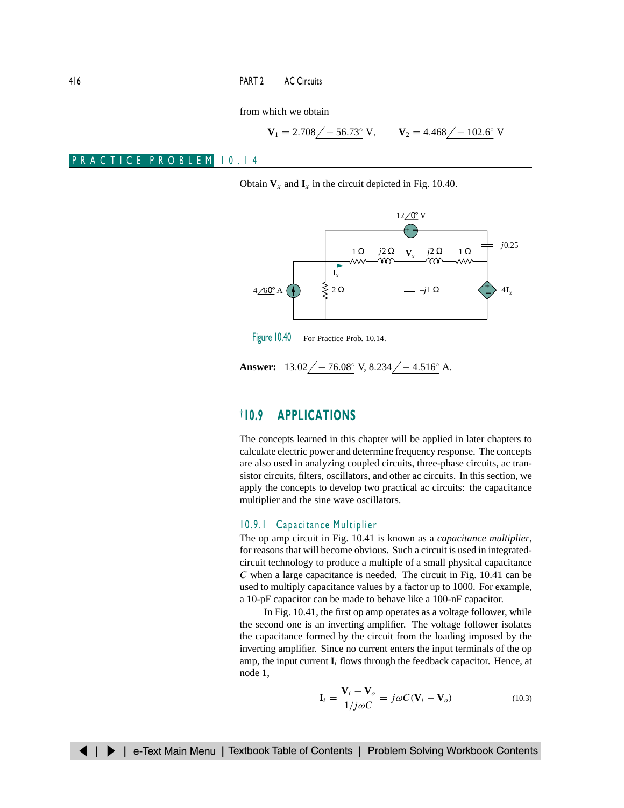from which we obtain

$$
\mathbf{V}_1 = 2.708 \angle -56.73^{\circ} \text{ V}, \qquad \mathbf{V}_2 = 4.468 \angle -102.6^{\circ} \text{ V}
$$

#### RACTICE PROBLEM 10.14

Obtain  $V_x$  and  $I_x$  in the circuit depicted in Fig. 10.40.



Figure 10.40 For Practice Prob. 10.14.

**Answer:**  $13.02 / -76.08°$  V,  $8.234 / -4.516°$  A.

## *†***10.9 APPLICATIONS**

The concepts learned in this chapter will be applied in later chapters to calculate electric power and determine frequency response. The concepts are also used in analyzing coupled circuits, three-phase circuits, ac transistor circuits, filters, oscillators, and other ac circuits. In this section, we apply the concepts to develop two practical ac circuits: the capacitance multiplier and the sine wave oscillators.

#### 10.9.1 Capacitance Multiplier

The op amp circuit in Fig. 10.41 is known as a *capacitance multiplier*, for reasons that will become obvious. Such a circuit is used in integratedcircuit technology to produce a multiple of a small physical capacitance *C* when a large capacitance is needed. The circuit in Fig. 10.41 can be used to multiply capacitance values by a factor up to 1000. For example, a 10-pF capacitor can be made to behave like a 100-nF capacitor.

In Fig. 10.41, the first op amp operates as a voltage follower, while the second one is an inverting amplifier. The voltage follower isolates the capacitance formed by the circuit from the loading imposed by the inverting amplifier. Since no current enters the input terminals of the op amp, the input current  $I_i$  flows through the feedback capacitor. Hence, at node 1,

$$
\mathbf{I}_{i} = \frac{\mathbf{V}_{i} - \mathbf{V}_{o}}{1/j\omega C} = j\omega C(\mathbf{V}_{i} - \mathbf{V}_{o})
$$
(10.3)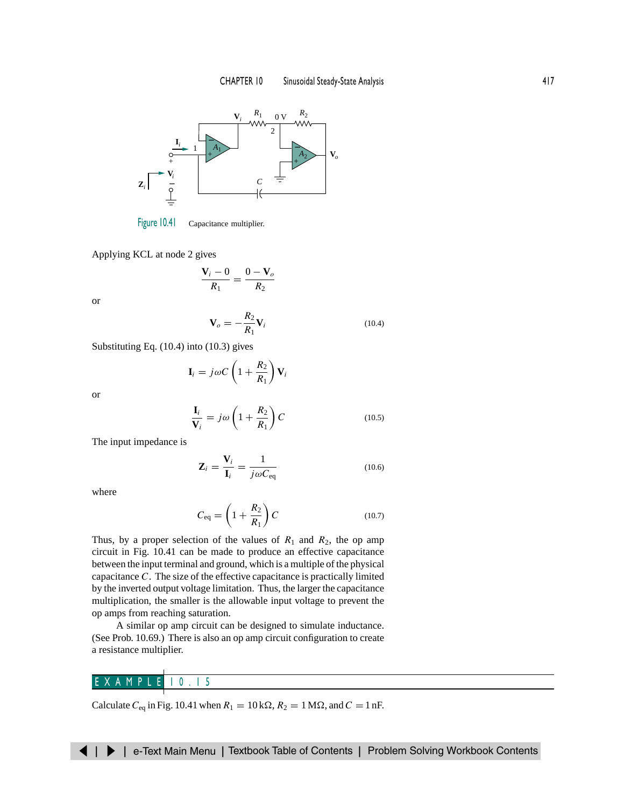

Figure 10.41 Capacitance multiplier.

Applying KCL at node 2 gives

$$
\frac{\mathbf{V}_i - \mathbf{0}}{R_1} = \frac{\mathbf{0} - \mathbf{V}_o}{R_2}
$$

or

$$
\mathbf{V}_o = -\frac{R_2}{R_1} \mathbf{V}_i \tag{10.4}
$$

Substituting Eq. (10.4) into (10.3) gives

$$
\mathbf{I}_i = j\omega C \left( 1 + \frac{R_2}{R_1} \right) \mathbf{V}_i
$$

or

$$
\frac{\mathbf{I}_i}{\mathbf{V}_i} = j\omega \left(1 + \frac{R_2}{R_1}\right) C \tag{10.5}
$$

The input impedance is

$$
\mathbf{Z}_{i} = \frac{\mathbf{V}_{i}}{\mathbf{I}_{i}} = \frac{1}{j\omega C_{\text{eq}}}
$$
(10.6)

where

$$
C_{\text{eq}} = \left(1 + \frac{R_2}{R_1}\right)C\tag{10.7}
$$

Thus, by a proper selection of the values of  $R_1$  and  $R_2$ , the op amp circuit in Fig. 10.41 can be made to produce an effective capacitance between the input terminal and ground, which is a multiple of the physical capacitance *C*. The size of the effective capacitance is practically limited by the inverted output voltage limitation. Thus, the larger the capacitance multiplication, the smaller is the allowable input voltage to prevent the op amps from reaching saturation.

A similar op amp circuit can be designed to simulate inductance. (See Prob. 10.69.) There is also an op amp circuit configuration to create a resistance multiplier.

#### EXAMPLE 10.15

Calculate  $C_{eq}$  in Fig. 10.41 when  $R_1 = 10 \text{ k}\Omega$ ,  $R_2 = 1 \text{ M}\Omega$ , and  $C = 1 \text{ nF}$ .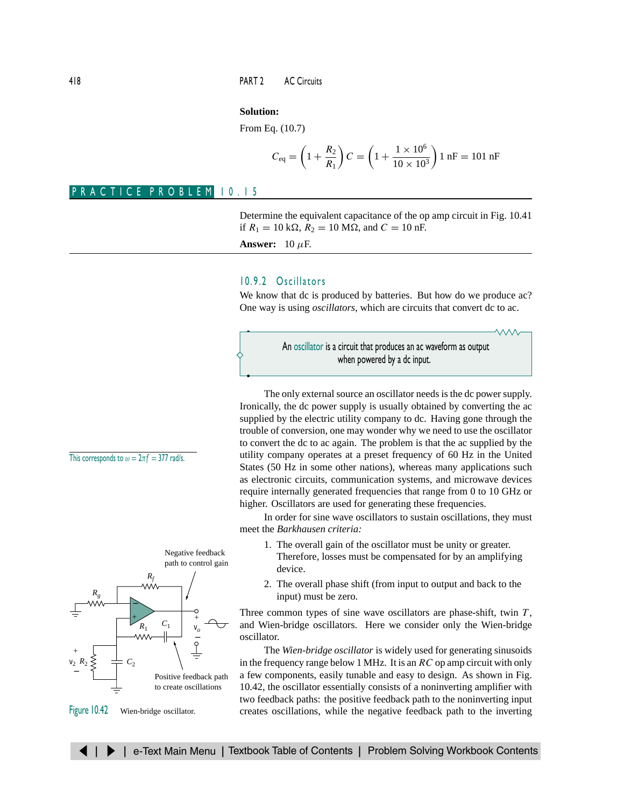#### **Solution:**

From Eq. (10.7)

$$
C_{\text{eq}} = \left(1 + \frac{R_2}{R_1}\right)C = \left(1 + \frac{1 \times 10^6}{10 \times 10^3}\right)1 \text{ nF} = 101 \text{ nF}
$$

#### PRACTICE PROBLEM 10.15

Determine the equivalent capacitance of the op amp circuit in Fig. 10.41 if  $R_1 = 10 \text{ k}\Omega$ ,  $R_2 = 10 \text{ M}\Omega$ , and  $C = 10 \text{ nF}$ .

**Answer:** 10 *µ*F.

#### 10.9.2 Oscillators

We know that dc is produced by batteries. But how do we produce ac? One way is using *oscillators*, which are circuits that convert dc to ac.

> An oscillator is a circuit that produces an ac waveform as output when powered by a dc input.

The only external source an oscillator needs is the dc power supply. Ironically, the dc power supply is usually obtained by converting the ac supplied by the electric utility company to dc. Having gone through the trouble of conversion, one may wonder why we need to use the oscillator to convert the dc to ac again. The problem is that the ac supplied by the utility company operates at a preset frequency of 60 Hz in the United States (50 Hz in some other nations), whereas many applications such as electronic circuits, communication systems, and microwave devices require internally generated frequencies that range from 0 to 10 GHz or higher. Oscillators are used for generating these frequencies.

In order for sine wave oscillators to sustain oscillations, they must meet the *Barkhausen criteria:*

- 1. The overall gain of the oscillator must be unity or greater. Therefore, losses must be compensated for by an amplifying device.
- 2. The overall phase shift (from input to output and back to the input) must be zero.

Three common types of sine wave oscillators are phase-shift, twin *T* , and Wien-bridge oscillators. Here we consider only the Wien-bridge oscillator.

The *Wien-bridge oscillator* is widely used for generating sinusoids in the frequency range below 1 MHz. It is an *RC* op amp circuit with only a few components, easily tunable and easy to design. As shown in Fig. 10.42, the oscillator essentially consists of a noninverting amplifier with two feedback paths: the positive feedback path to the noninverting input creates oscillations, while the negative feedback path to the inverting

This corresponds to  $\omega = 2\pi f = 377$  rad/s.



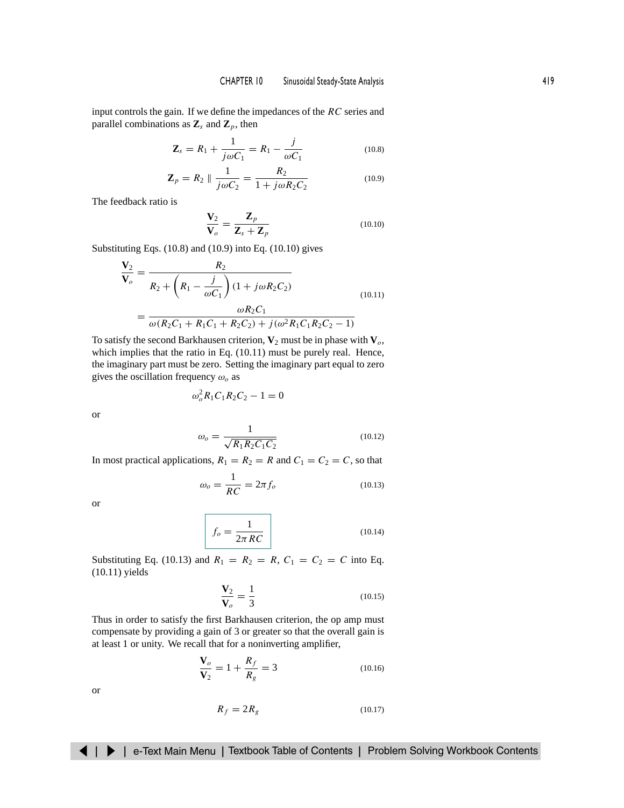input controls the gain. If we define the impedances of the *RC* series and parallel combinations as  $\mathbf{Z}_s$  and  $\mathbf{Z}_p$ , then

$$
\mathbf{Z}_s = R_1 + \frac{1}{j\omega C_1} = R_1 - \frac{j}{\omega C_1}
$$
 (10.8)

$$
\mathbf{Z}_p = R_2 \parallel \frac{1}{j\omega C_2} = \frac{R_2}{1 + j\omega R_2 C_2}
$$
 (10.9)

The feedback ratio is

$$
\frac{\mathbf{V}_2}{\mathbf{V}_o} = \frac{\mathbf{Z}_p}{\mathbf{Z}_s + \mathbf{Z}_p}
$$
(10.10)

Substituting Eqs. (10.8) and (10.9) into Eq. (10.10) gives

$$
\frac{\mathbf{V}_2}{\mathbf{V}_o} = \frac{R_2}{R_2 + \left(R_1 - \frac{j}{\omega C_1}\right)(1 + j\omega R_2 C_2)}
$$
\n
$$
= \frac{\omega R_2 C_1}{\omega (R_2 C_1 + R_1 C_1 + R_2 C_2) + j(\omega^2 R_1 C_1 R_2 C_2 - 1)}
$$
\n(10.11)

To satisfy the second Barkhausen criterion,  $V_2$  must be in phase with  $V_0$ , which implies that the ratio in Eq.  $(10.11)$  must be purely real. Hence, the imaginary part must be zero. Setting the imaginary part equal to zero gives the oscillation frequency  $\omega_o$  as

$$
\omega_o^2 R_1 C_1 R_2 C_2 - 1 = 0
$$

or

$$
\omega_o = \frac{1}{\sqrt{R_1 R_2 C_1 C_2}}\tag{10.12}
$$

In most practical applications,  $R_1 = R_2 = R$  and  $C_1 = C_2 = C$ , so that

$$
\omega_o = \frac{1}{RC} = 2\pi f_o \tag{10.13}
$$

or

$$
f_o = \frac{1}{2\pi RC}
$$
 (10.14)

Substituting Eq. (10.13) and  $R_1 = R_2 = R$ ,  $C_1 = C_2 = C$  into Eq. (10.11) yields

$$
\frac{\mathbf{V}_2}{\mathbf{V}_o} = \frac{1}{3} \tag{10.15}
$$

Thus in order to satisfy the first Barkhausen criterion, the op amp must compensate by providing a gain of 3 or greater so that the overall gain is at least 1 or unity. We recall that for a noninverting amplifier,

$$
\frac{\mathbf{V}_o}{\mathbf{V}_2} = 1 + \frac{R_f}{R_g} = 3\tag{10.16}
$$

or

$$
R_f = 2R_g \tag{10.17}
$$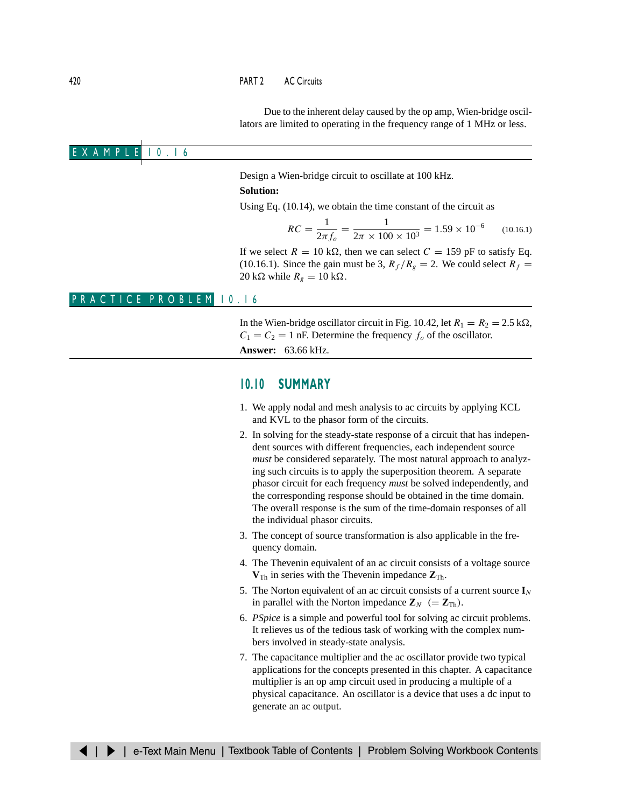Due to the inherent delay caused by the op amp, Wien-bridge oscillators are limited to operating in the frequency range of 1 MHz or less.

EXAMPLE 10.16

Design a Wien-bridge circuit to oscillate at 100 kHz.

#### **Solution:**

Using Eq. (10.14), we obtain the time constant of the circuit as

$$
RC = \frac{1}{2\pi f_o} = \frac{1}{2\pi \times 100 \times 10^3} = 1.59 \times 10^{-6} \quad (10.16.1)
$$

If we select  $R = 10 \text{ k}\Omega$ , then we can select  $C = 159 \text{ pF}$  to satisfy Eq. (10.16.1). Since the gain must be 3,  $R_f/R_g = 2$ . We could select  $R_f =$  $20 \text{ k}\Omega$  while  $R_g = 10 \text{ k}\Omega$ .

#### PRACTICE PROBLEM 10.16

In the Wien-bridge oscillator circuit in Fig. 10.42, let  $R_1 = R_2 = 2.5 \text{ k}\Omega$ ,  $C_1 = C_2 = 1$  nF. Determine the frequency  $f_o$  of the oscillator. **Answer:** 63.66 kHz.

## **10.10 SUMMARY**

- 1. We apply nodal and mesh analysis to ac circuits by applying KCL and KVL to the phasor form of the circuits.
- 2. In solving for the steady-state response of a circuit that has independent sources with different frequencies, each independent source *must* be considered separately. The most natural approach to analyzing such circuits is to apply the superposition theorem. A separate phasor circuit for each frequency *must* be solved independently, and the corresponding response should be obtained in the time domain. The overall response is the sum of the time-domain responses of all the individual phasor circuits.
- 3. The concept of source transformation is also applicable in the frequency domain.
- 4. The Thevenin equivalent of an ac circuit consists of a voltage source  $V_{\text{Th}}$  in series with the Thevenin impedance  $Z_{\text{Th}}$ .
- 5. The Norton equivalent of an ac circuit consists of a current source  $\mathbf{I}_N$ in parallel with the Norton impedance  $\mathbf{Z}_N$  (=  $\mathbf{Z}_{Th}$ ).
- 6. *PSpice* is a simple and powerful tool for solving ac circuit problems. It relieves us of the tedious task of working with the complex numbers involved in steady-state analysis.
- 7. The capacitance multiplier and the ac oscillator provide two typical applications for the concepts presented in this chapter. A capacitance multiplier is an op amp circuit used in producing a multiple of a physical capacitance. An oscillator is a device that uses a dc input to generate an ac output.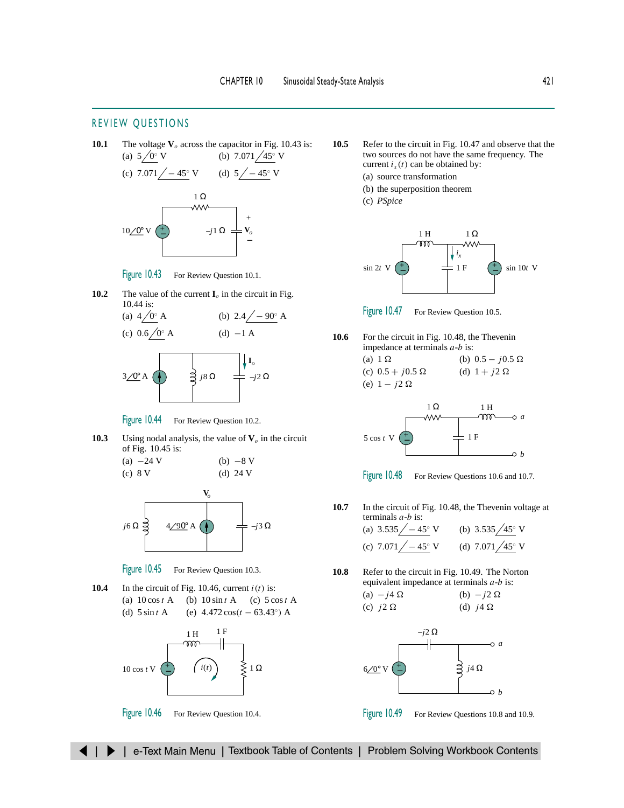#### REVIEW QUESTIONS

- **10.1** The voltage **V***<sup>o</sup>* across the capacitor in Fig. 10.43 is: (a)  $5\sqrt{0}$ ° V (b)  $7.071\sqrt{45}$ ° V
	- (c)  $7.071 / 45°$  V (d)  $5 / 45°$  V  $\frac{1}{2}$ <br>MW +



Figure 10.43 For Review Question 10.1.

**10.2** The value of the current **I**<sub>*o*</sub> in the circuit in Fig. 10.44 is:





Figure 10.44 For Review Question 10.2.

- **10.3** Using nodal analysis, the value of **V***<sup>o</sup>* in the circuit of Fig. 10.45 is:
	- (a)  $-24 \text{ V}$  (b)  $-8 \text{ V}$ <br>(c)  $8 \text{ V}$  (d)  $24 \text{ V}$ (d)  $24 V$



Figure 10.45 For Review Question 10.3.

**10.4** In the circuit of Fig. 10.46, current  $i(t)$  is: (a)  $10 \cos t A$  (b)  $10 \sin t A$  (c)  $5 \cos t A$ (d) 5 sin *t* A (e) 4*.*472 cos*(t* − 63*.*43◦*)* A





- **10.5** Refer to the circuit in Fig. 10.47 and observe that the two sources do not have the same frequency. The current  $i_x(t)$  can be obtained by:
	- (a) source transformation
	- (b) the superposition theorem
	- (c) *PSpice*



Figure 10.47 For Review Ouestion 10.5.

**10.6** For the circuit in Fig. 10.48, the Thevenin impedance at terminals *a*-*b* is: (a)  $1 \Omega$ <br>(b)  $0.5 - j0.5 \Omega$ <br>(c)  $0.5 + j0.5 \Omega$ <br>(d)  $1 + j2 \Omega$ (c)  $0.5 + j0.5 \Omega$ 

(e) 
$$
1 - i7
$$

(e)  $1 - j2 \Omega$ 



Figure 10.48 For Review Questions 10.6 and 10.7.

**10.7** In the circuit of Fig. 10.48, the Thevenin voltage at terminals *a*-*b* is:

(a) 
$$
3.535 \angle -45^{\circ} \text{ V}
$$
 (b)  $3.535 \angle 45^{\circ} \text{ V}$   
(c)  $7.071 \angle -45^{\circ} \text{ V}$  (d)  $7.071 \angle 45^{\circ} \text{ V}$ 

**10.8** Refer to the circuit in Fig. 10.49. The Norton equivalent impedance at terminals *a*-*b* is:

(a) 
$$
-j4 \Omega
$$
  
\n(b)  $-j2 \Omega$   
\n(c)  $j2 \Omega$   
\n(d)  $j4 \Omega$ 



Figure 10.49 For Review Questions 10.8 and 10.9.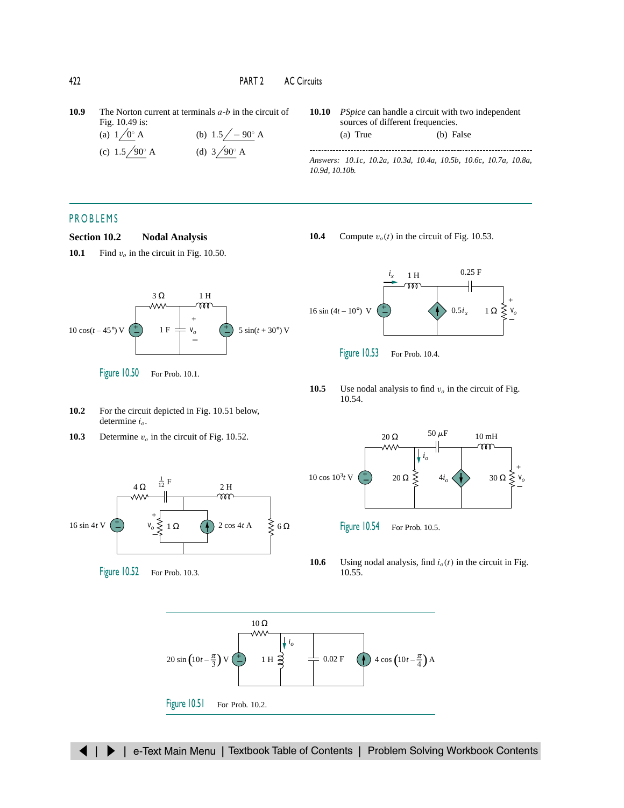- **10.9** The Norton current at terminals *a*-*b* in the circuit of Fig. 10.49 is:<br>(a)  $1/0^{\circ}$  A (a)  $1/\sqrt{0}$ ° A (b)  $1.5/\sqrt{0}$ ° A
	- (c)  $1.5/90°$  A (d)  $3/90°$  A



*Answers: 10.1c, 10.2a, 10.3d, 10.4a, 10.5b, 10.6c, 10.7a, 10.8a, 10.9d, 10.10b.*

### PROBLEMS

#### **Section 10.2 Nodal Analysis**

**10.1** Find  $v<sub>o</sub>$  in the circuit in Fig. 10.50.



Figure 10.50 For Prob. 10.1.

- 10.2 For the circuit depicted in Fig. 10.51 below, determine *io*.
- **10.3** Determine  $v<sub>o</sub>$  in the circuit of Fig. 10.52.









**10.5** Use nodal analysis to find  $v<sub>o</sub>$  in the circuit of Fig. 10.54.



- Figure 10.54 For Prob. 10.5.
- **10.6** Using nodal analysis, find  $i_o(t)$  in the circuit in Fig. 10.55.
- $10$  Ω **AAAA**  $i<sub>o</sub>$ 20 sin  $\left(10t - \frac{\pi}{2}\right)$  V  $\left(\frac{+}{2}\right)$  1 H  $\approx 3$   $\Rightarrow$  0.02 F  $\left(\frac{4}{2}\right)$  4 cos  $\left(10t - \frac{\pi}{4}\right)$  A  $= 0.02 \text{ F}$  $1 H =$ Figure 10.51 For Prob. 10.2.

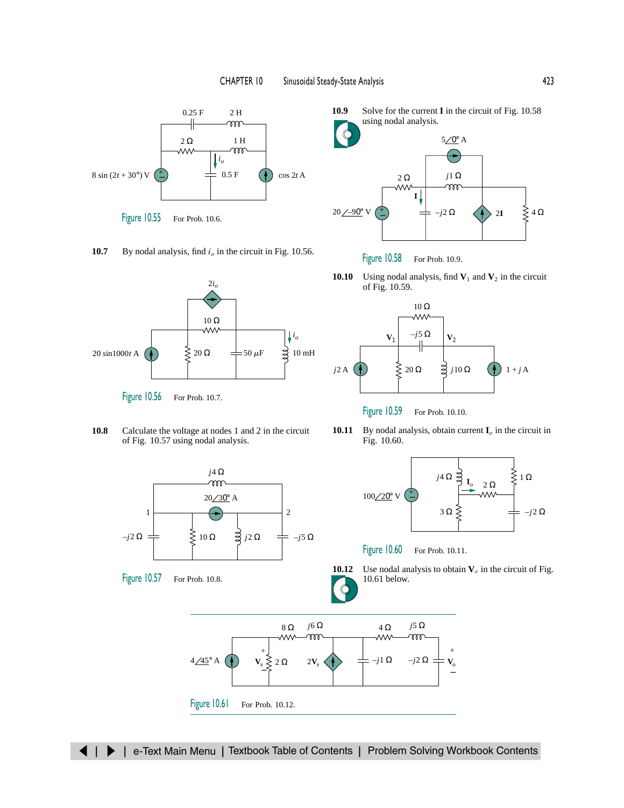

**10.7** By nodal analysis, find  $i<sub>o</sub>$  in the circuit in Fig. 10.56.



**10.8** Calculate the voltage at nodes 1 and 2 in the circuit of Fig. 10.57 using nodal analysis.



**10.9** Solve for the current **I** in the circuit of Fig. 10.58 using nodal analysis.





**10.10** Using nodal analysis, find  $V_1$  and  $V_2$  in the circuit of Fig. 10.59.



Figure 10.59 For Prob. 10.10.

**10.11** By nodal analysis, obtain current  $\mathbf{I}_o$  in the circuit in Fig. 10.60.





**10.12** Use nodal analysis to obtain **V***<sup>o</sup>* in the circuit of Fig. 10.61 below.



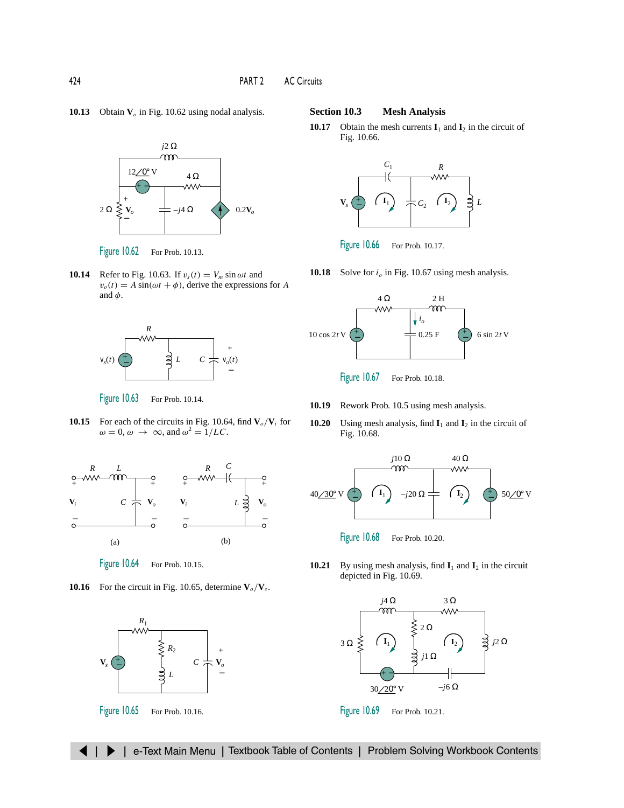**10.13** Obtain **V***<sup>o</sup>* in Fig. 10.62 using nodal analysis.





**10.14** Refer to Fig. 10.63. If  $v_s(t) = V_m \sin \omega t$  and  $v_o(t) = A \sin(\omega t + \phi)$ , derive the expressions for *A* and  $\phi$ .



Figure 10.63 For Prob. 10.14.

**10.15** For each of the circuits in Fig. 10.64, find  $V_o/V_i$  for  $\omega = 0, \omega \rightarrow \infty$ , and  $\omega^2 = 1/LC$ .



Figure 10.64 For Prob. 10.15.

**10.16** For the circuit in Fig. 10.65, determine  $\mathbf{V}_o/\mathbf{V}_s$ .



Figure 10.65 For Prob. 10.16.

#### **Section 10.3 Mesh Analysis**

**10.17** Obtain the mesh currents  $I_1$  and  $I_2$  in the circuit of Fig. 10.66.



Figure 10.66 For Prob. 10.17.

**10.18** Solve for  $i<sub>o</sub>$  in Fig. 10.67 using mesh analysis.



Figure 10.67 For Prob. 10.18.

- **10.19** Rework Prob. 10.5 using mesh analysis.
- **10.20** Using mesh analysis, find  $I_1$  and  $I_2$  in the circuit of Fig. 10.68.



Figure 10.68 For Prob. 10.20.

**10.21** By using mesh analysis, find  $I_1$  and  $I_2$  in the circuit depicted in Fig. 10.69.



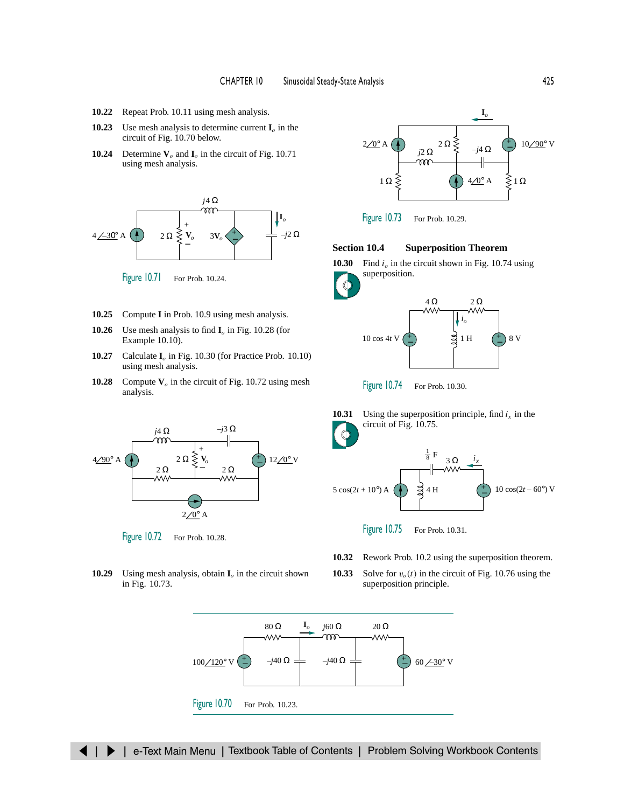- **10.22** Repeat Prob. 10.11 using mesh analysis.
- **10.23** Use mesh analysis to determine current  $\mathbf{I}_o$  in the circuit of Fig. 10.70 below.
- **10.24** Determine  $V$ <sup> $o$ </sup> and  $I$ <sup> $o$ </sup> in the circuit of Fig. 10.71 using mesh analysis.



- **10.25** Compute **I** in Prob. 10.9 using mesh analysis.
- **10.26** Use mesh analysis to find **I***<sup>o</sup>* in Fig. 10.28 (for Example 10.10).
- **10.27** Calculate **I***<sup>o</sup>* in Fig. 10.30 (for Practice Prob. 10.10) using mesh analysis.
- **10.28** Compute **V***<sup>o</sup>* in the circuit of Fig. 10.72 using mesh analysis.



Figure 10.72 For Prob. 10.28.

**10.29** Using mesh analysis, obtain **I***<sup>o</sup>* in the circuit shown in Fig. 10.73.



Figure 10.73 For Prob. 10.29.

#### **Section 10.4 Superposition Theorem**





Figure 10.74 For Prob. 10.30.



Figure 10.75 For Prob. 10.31.

- **10.32** Rework Prob. 10.2 using the superposition theorem.
- **10.33** Solve for  $v<sub>o</sub>(t)$  in the circuit of Fig. 10.76 using the superposition principle.

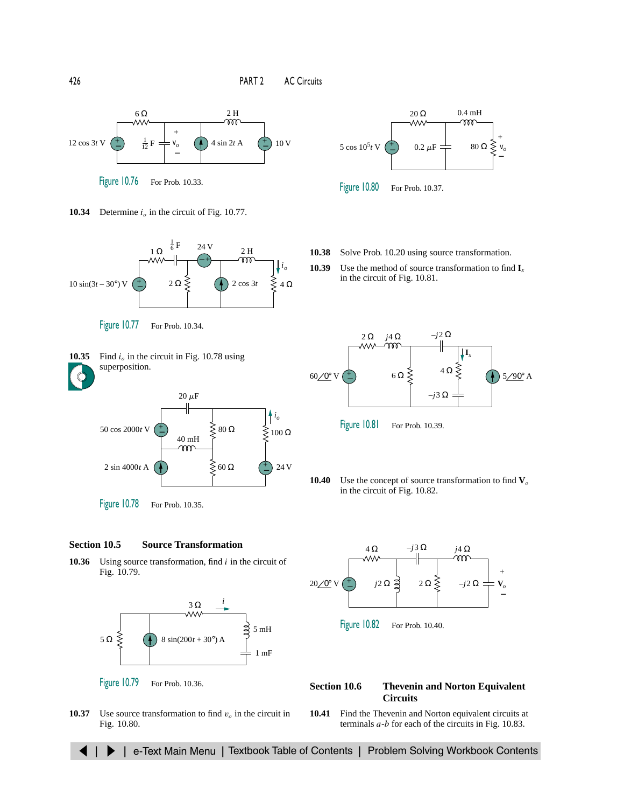

**10.34** Determine  $i<sub>o</sub>$  in the circuit of Fig. 10.77.



Figure 10.77 For Prob. 10.34.





Figure 10.78 For Prob. 10.35.

#### **Section 10.5 Source Transformation**

**10.36** Using source transformation, find *i* in the circuit of Fig. 10.79.





**10.37** Use source transformation to find  $v<sub>o</sub>$  in the circuit in Fig. 10.80.



- **10.38** Solve Prob. 10.20 using source transformation.
- **10.39** Use the method of source transformation to find **I***<sup>x</sup>* in the circuit of Fig. 10.81.





**10.40** Use the concept of source transformation to find **V***<sup>o</sup>* in the circuit of Fig. 10.82.



#### **Section 10.6 Thevenin and Norton Equivalent Circuits**

**10.41** Find the Thevenin and Norton equivalent circuits at terminals *a*-*b* for each of the circuits in Fig. 10.83.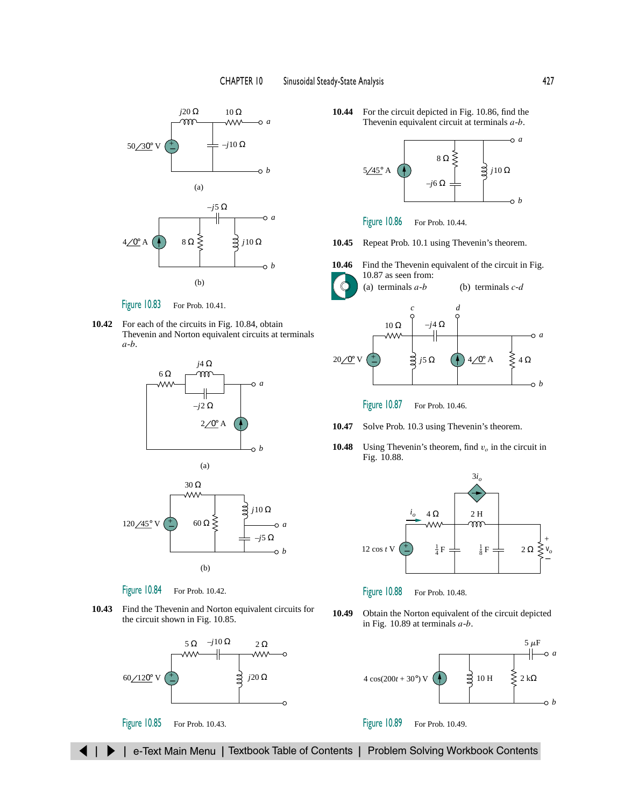

Figure 10.83 For Prob. 10.41.

**10.42** For each of the circuits in Fig. 10.84, obtain Thevenin and Norton equivalent circuits at terminals *a*-*b*.





(a)



**10.43** Find the Thevenin and Norton equivalent circuits for the circuit shown in Fig. 10.85.



Figure 10.85 For Prob. 10.43.

**10.44** For the circuit depicted in Fig. 10.86, find the Thevenin equivalent circuit at terminals *a*-*b*.



Figure 10.86 For Prob. 10.44.

- **10.45** Repeat Prob. 10.1 using Thevenin's theorem.
- **10.46** Find the Thevenin equivalent of the circuit in Fig. 10.87 as seen from:



(a) terminals *a*-*b* (b) terminals *c*-*d*



Figure 10.87 For Prob. 10.46.

- **10.47** Solve Prob. 10.3 using Thevenin's theorem.
- **10.48** Using Thevenin's theorem, find  $v<sub>o</sub>$  in the circuit in Fig. 10.88.



Figure 10.88 For Prob. 10.48.

**10.49** Obtain the Norton equivalent of the circuit depicted in Fig. 10.89 at terminals *a*-*b*.





◀ | ▶ | e-Text Main Menu | Textbook Table of Contents | Problem Solving Workbook Contents ▲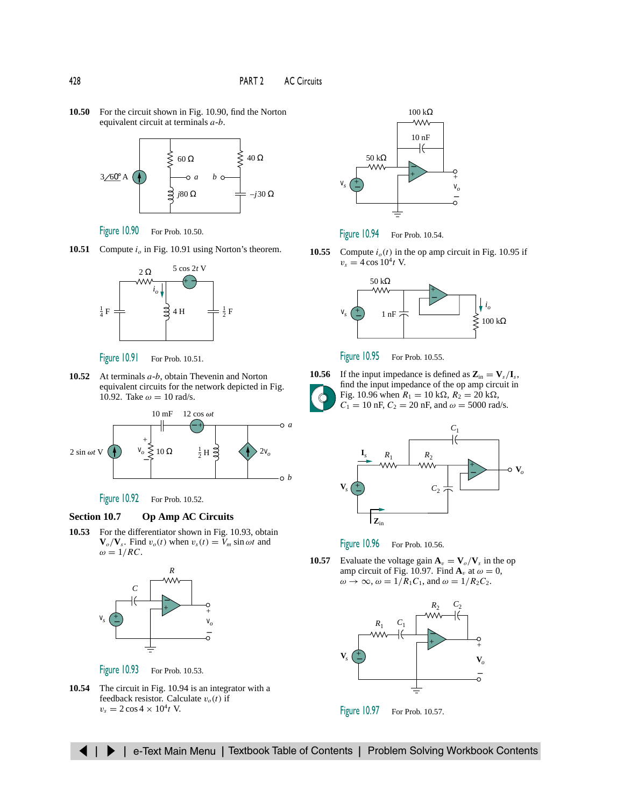**10.50** For the circuit shown in Fig. 10.90, find the Norton equivalent circuit at terminals *a*-*b*.



Figure 10.90 For Prob. 10.50.

**10.51** Compute  $i<sub>o</sub>$  in Fig. 10.91 using Norton's theorem.



Figure 10.91 For Prob. 10.51.

**10.52** At terminals *a*-*b*, obtain Thevenin and Norton equivalent circuits for the network depicted in Fig. 10.92. Take  $\omega = 10$  rad/s.



Figure 10.92 For Prob. 10.52.

#### **Section 10.7 Op Amp AC Circuits**

**10.53** For the differentiator shown in Fig. 10.93, obtain  $\mathbf{V}_o/\mathbf{V}_s$ . Find  $v_o(t)$  when  $v_s(t) = V_m \sin \omega t$  and  $\omega = 1/RC$ .





**10.54** The circuit in Fig. 10.94 is an integrator with a feedback resistor. Calculate  $v<sub>o</sub>(t)$  if  $v_s = 2 \cos 4 \times 10^4 t$  V.



Figure 10.94 For Prob. 10.54.

**10.55** Compute  $i_o(t)$  in the op amp circuit in Fig. 10.95 if  $v_s = 4 \cos 10^4 t$  V.











**10.57** Evaluate the voltage gain  $A_v = V_o/V_s$  in the op amp circuit of Fig. 10.97. Find  $\mathbf{A}_v$  at  $\omega = 0$ ,  $\omega \to \infty$ ,  $\omega = 1/R_1C_1$ , and  $\omega = 1/R_2C_2$ .



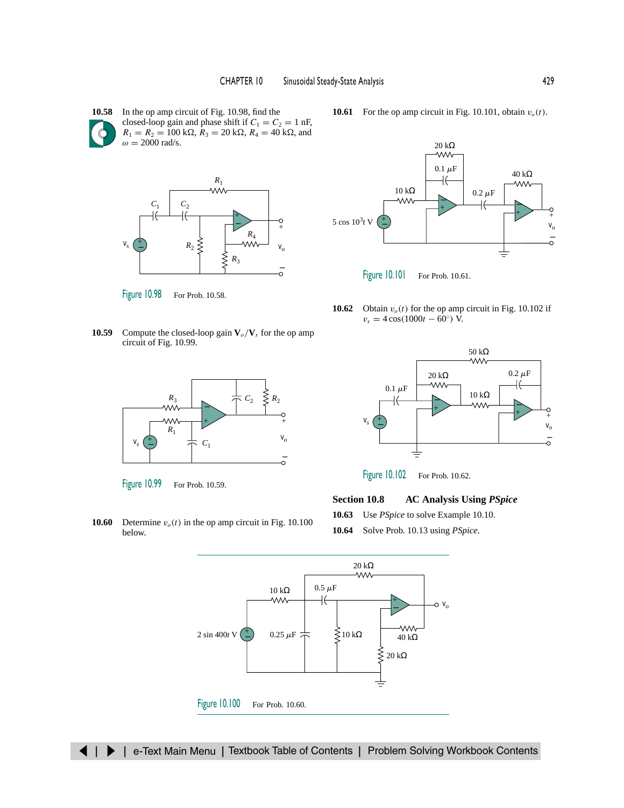

**10.58** In the op amp circuit of Fig. 10.98, find the closed-loop gain and phase shift if  $C_1 = C_2 = 1$  nF,  $R_1 = R_2 = 100 \text{ k}\Omega$ ,  $R_3 = 20 \text{ k}\Omega$ ,  $R_4 = 40 \text{ k}\Omega$ , and  $\omega = 2000$  rad/s.



Figure 10.98 For Prob. 10.58.

circuit of Fig. 10.99.

**10.61** For the op amp circuit in Fig. 10.101, obtain  $v<sub>o</sub>(t)$ .





**10.62** Obtain  $v<sub>o</sub>(t)$  for the op amp circuit in Fig. 10.102 if  $v_s = 4 \cos(1000t - 60°) \text{ V}.$ 



**10.59** Compute the closed-loop gain **V***o/***V***<sup>s</sup>* for the op amp



**10.60** Determine  $v<sub>o</sub>(t)$  in the op amp circuit in Fig. 10.100 below.



Figure 10.102 For Prob. 10.62.

#### **Section 10.8 AC Analysis Using** *PSpice*

**10.63** Use *PSpice* to solve Example 10.10.

**10.64** Solve Prob. 10.13 using *PSpice*.

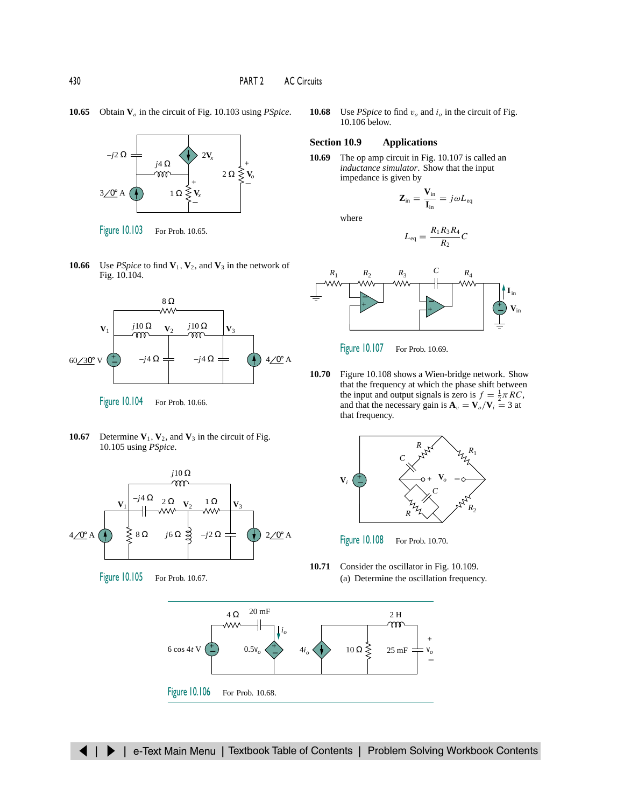**10.65** Obtain **V***<sup>o</sup>* in the circuit of Fig. 10.103 using *PSpice*.



Figure 10.103 For Prob. 10.65.

**10.66** Use *PSpice* to find  $V_1$ ,  $V_2$ , and  $V_3$  in the network of Fig. 10.104.



Figure 10.104 For Prob. 10.66.

**10.67** Determine  $V_1$ ,  $V_2$ , and  $V_3$  in the circuit of Fig. 10.105 using *PSpice*.





**10.68** Use *PSpice* to find  $v<sub>o</sub>$  and  $i<sub>o</sub>$  in the circuit of Fig. 10.106 below.

#### **Section 10.9 Applications**

**10.69** The op amp circuit in Fig. 10.107 is called an *inductance simulator*. Show that the input impedance is given by

$$
Z_{in}=\frac{V_{in}}{I_{in}}=\text{ j}\omega\text{L}_{eq}
$$

where

$$
L_{\text{eq}} = \frac{R_1 R_3 R_4}{R_2} C
$$





**10.70** Figure 10.108 shows a Wien-bridge network. Show that the frequency at which the phase shift between the input and output signals is zero is  $f = \frac{1}{2}\pi RC$ , and that the necessary gain is  $A_v = V_o/V_i = 3$  at that frequency.



Figure 10.108 For Prob. 10.70.

**10.71** Consider the oscillator in Fig. 10.109. (a) Determine the oscillation frequency.